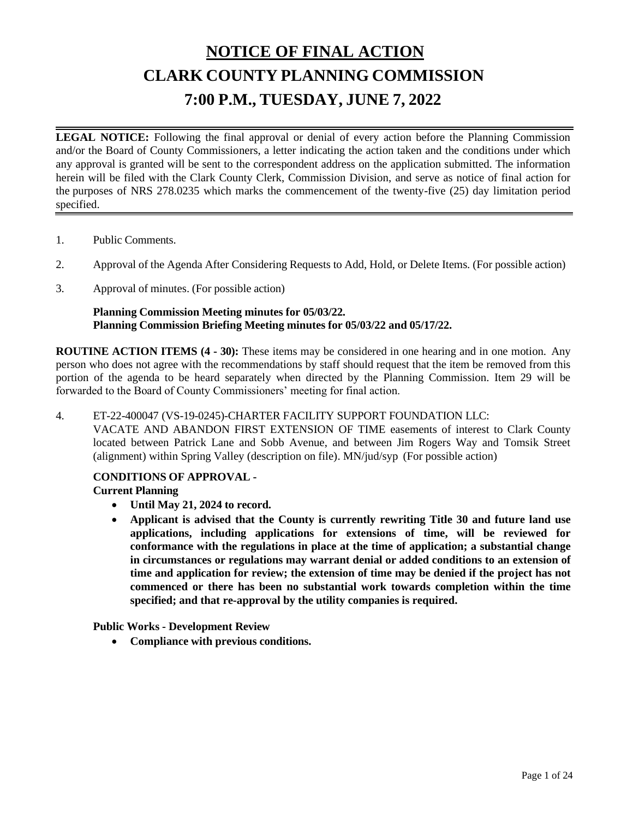# **NOTICE OF FINAL ACTION CLARK COUNTY PLANNING COMMISSION 7:00 P.M., TUESDAY, JUNE 7, 2022**

**LEGAL NOTICE:** Following the final approval or denial of every action before the Planning Commission and/or the Board of County Commissioners, a letter indicating the action taken and the conditions under which any approval is granted will be sent to the correspondent address on the application submitted. The information herein will be filed with the Clark County Clerk, Commission Division, and serve as notice of final action for the purposes of NRS 278.0235 which marks the commencement of the twenty-five (25) day limitation period specified.

- 1. Public [Comments.](http://clark.legistar.com/gateway.aspx?m=l&id=/matter.aspx%3Fkey%3D8972)
- 2. Approval of the Agenda After [Considering](http://clark.legistar.com/gateway.aspx?m=l&id=/matter.aspx%3Fkey%3D8973) Requests to Add, Hold, or Delete Items. (For possible action)
- 3. [Approval](http://clark.legistar.com/gateway.aspx?m=l&id=/matter.aspx%3Fkey%3D8974) of minutes. (For possible action)

#### **Planning Commission Meeting minutes for 05/03/22. Planning Commission Briefing Meeting minutes for 05/03/22 and 05/17/22.**

**ROUTINE ACTION ITEMS (4 - 30):** These items may be considered in one hearing and in one motion. Any person who does not agree with the recommendations by staff should request that the item be removed from this portion of the agenda to be heard separately when directed by the Planning Commission. Item 29 will be forwarded to the Board of County Commissioners' meeting for final action.

#### 4. ET-22-400047 [\(VS-19-0245\)-CHARTER](http://clark.legistar.com/gateway.aspx?m=l&id=/matter.aspx%3Fkey%3D8929) FACILITY SUPPORT FOUNDATION LLC:

VACATE AND ABANDON FIRST [EXTENSION](http://clark.legistar.com/gateway.aspx?m=l&id=/matter.aspx%3Fkey%3D8929) OF TIME easements of interest to Clark County [located between Patrick Lane and Sobb Avenue, and between Jim Rogers Way and Tomsik Street](http://clark.legistar.com/gateway.aspx?m=l&id=/matter.aspx%3Fkey%3D8929)  [\(alignment\) within Spring Valley \(description on file\).](http://clark.legistar.com/gateway.aspx?m=l&id=/matter.aspx%3Fkey%3D8929) MN/jud/syp (For possible action)

#### **CONDITIONS OF APPROVAL - Current Planning**

- **Until May 21, 2024 to record.**
- **Applicant is advised that the County is currently rewriting Title 30 and future land use applications, including applications for extensions of time, will be reviewed for conformance with the regulations in place at the time of application; a substantial change in circumstances or regulations may warrant denial or added conditions to an extension of time and application for review; the extension of time may be denied if the project has not commenced or there has been no substantial work towards completion within the time specified; and that re-approval by the utility companies is required.**

**Public Works - Development Review**

• **Compliance with previous conditions.**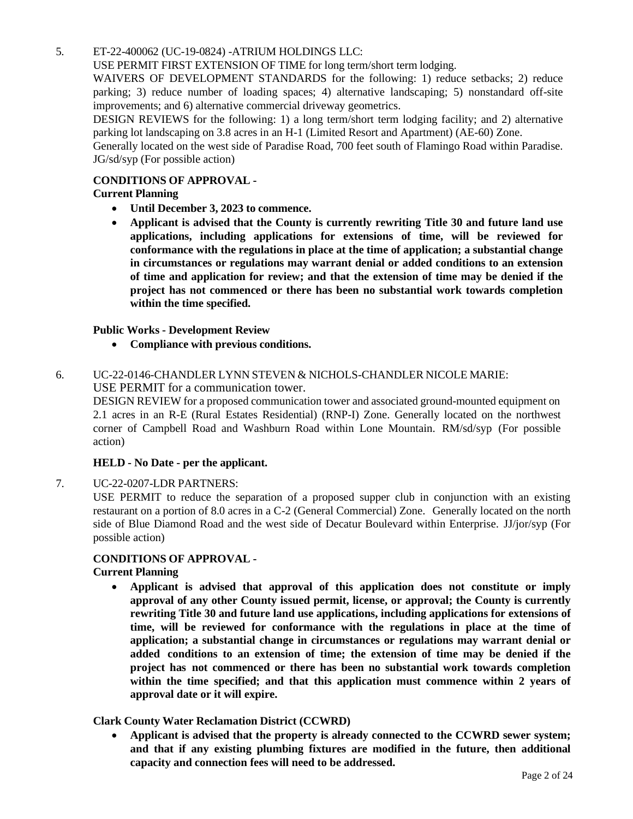#### 5. [ET-22-400062](http://clark.legistar.com/gateway.aspx?m=l&id=/matter.aspx%3Fkey%3D8930) (UC-19-0824) -ATRIUM HOLDINGS LLC:

USE PERMIT FIRST [EXTENSION](http://clark.legistar.com/gateway.aspx?m=l&id=/matter.aspx%3Fkey%3D8930) OF TIME for long term/short term lodging.

WAIVERS OF [DEVELOPMENT](http://clark.legistar.com/gateway.aspx?m=l&id=/matter.aspx%3Fkey%3D8930) STANDARDS for the following: 1) reduce setbacks; 2) reduce [parking; 3\) reduce number of loading spaces; 4\) alternative landscaping; 5\) nonstandard off-site](http://clark.legistar.com/gateway.aspx?m=l&id=/matter.aspx%3Fkey%3D8930)  [improvements; and 6\) alternative commercial driveway geometrics.](http://clark.legistar.com/gateway.aspx?m=l&id=/matter.aspx%3Fkey%3D8930)

DESIGN REVIEWS for the following: 1) a long term/short term lodging facility; and 2) [alternative](http://clark.legistar.com/gateway.aspx?m=l&id=/matter.aspx%3Fkey%3D8930)  [parking lot landscaping on 3.8 acres in an H-1 \(Limited Resort and Apartment\) \(AE-60\) Zone.](http://clark.legistar.com/gateway.aspx?m=l&id=/matter.aspx%3Fkey%3D8930)

[Generally](http://clark.legistar.com/gateway.aspx?m=l&id=/matter.aspx%3Fkey%3D8930) located on the west side of Paradise Road, 700 feet south of Flamingo Road within Paradise. [JG/sd/syp \(For possible action\)](http://clark.legistar.com/gateway.aspx?m=l&id=/matter.aspx%3Fkey%3D8930)

#### **CONDITIONS OF APPROVAL -**

#### **Current Planning**

- **Until December 3, 2023 to commence.**
- **Applicant is advised that the County is currently rewriting Title 30 and future land use applications, including applications for extensions of time, will be reviewed for conformance with the regulations in place at the time of application; a substantial change in circumstances or regulations may warrant denial or added conditions to an extension of time and application for review; and that the extension of time may be denied if the project has not commenced or there has been no substantial work towards completion within the time specified.**

#### **Public Works - Development Review**

• **Compliance with previous conditions.**

#### 6. [UC-22-0146-CHANDLER](http://clark.legistar.com/gateway.aspx?m=l&id=/matter.aspx%3Fkey%3D8931) LYNN STEVEN & NICHOLS-CHANDLER NICOLE MARIE: USE PERMIT for a communication tower.

DESIGN REVIEW for a proposed communication tower and associated [ground-mounted](http://clark.legistar.com/gateway.aspx?m=l&id=/matter.aspx%3Fkey%3D8931) equipment on 2.1 acres in an R-E (Rural Estates [Residential\)](http://clark.legistar.com/gateway.aspx?m=l&id=/matter.aspx%3Fkey%3D8931) (RNP-I) Zone. Generally located on the northwest [corner of Campbell Road and Washburn Road within Lone Mountain.](http://clark.legistar.com/gateway.aspx?m=l&id=/matter.aspx%3Fkey%3D8931) RM/sd/syp (For possible [action\)](http://clark.legistar.com/gateway.aspx?m=l&id=/matter.aspx%3Fkey%3D8931)

#### **HELD - No Date - per the applicant.**

7. [UC-22-0207-LDR](http://clark.legistar.com/gateway.aspx?m=l&id=/matter.aspx%3Fkey%3D8932) PARTNERS:

[USE PERMIT to reduce the separation of a proposed supper club in conjunction with an existing](http://clark.legistar.com/gateway.aspx?m=l&id=/matter.aspx%3Fkey%3D8932)  [restaurant on a portion of 8.0 acres in a C-2 \(General Commercial\) Zone.](http://clark.legistar.com/gateway.aspx?m=l&id=/matter.aspx%3Fkey%3D8932) Generally located on the north side of Blue Diamond Road and the west side of Decatur Boulevard within Enterprise. [JJ/jor/syp \(For](http://clark.legistar.com/gateway.aspx?m=l&id=/matter.aspx%3Fkey%3D8932)  [possible action\)](http://clark.legistar.com/gateway.aspx?m=l&id=/matter.aspx%3Fkey%3D8932)

#### **CONDITIONS OF APPROVAL -**

#### **Current Planning**

• **Applicant is advised that approval of this application does not constitute or imply approval of any other County issued permit, license, or approval; the County is currently rewriting Title 30 and future land use applications, including applications for extensions of time, will be reviewed for conformance with the regulations in place at the time of application; a substantial change in circumstances or regulations may warrant denial or added conditions to an extension of time; the extension of time may be denied if the project has not commenced or there has been no substantial work towards completion within the time specified; and that this application must commence within 2 years of approval date or it will expire.**

#### **Clark County Water Reclamation District (CCWRD)**

• **Applicant is advised that the property is already connected to the CCWRD sewer system; and that if any existing plumbing fixtures are modified in the future, then additional capacity and connection fees will need to be addressed.**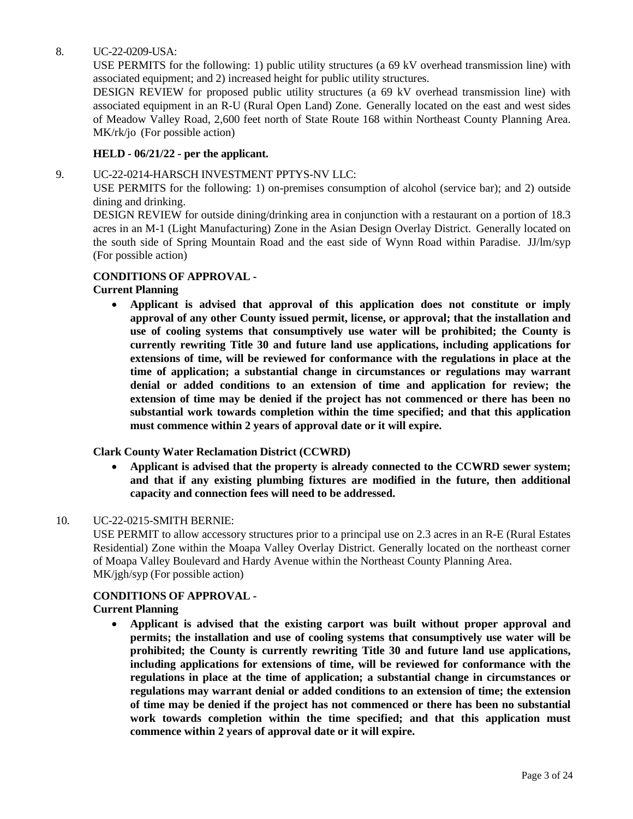#### 8. [UC-22-0209-USA:](http://clark.legistar.com/gateway.aspx?m=l&id=/matter.aspx%3Fkey%3D8933)

USE PERMITS for the [following: 1\)](http://clark.legistar.com/gateway.aspx?m=l&id=/matter.aspx%3Fkey%3D8933) public utility structures (a 69 kV overhead transmission line) with [associated equipment; and 2\) increased height for public utility structures.](http://clark.legistar.com/gateway.aspx?m=l&id=/matter.aspx%3Fkey%3D8933)

[DESIGN REVIEW for proposed public utility structures \(a 69 kV overhead transmission line\) with](http://clark.legistar.com/gateway.aspx?m=l&id=/matter.aspx%3Fkey%3D8933)  associated [equipment](http://clark.legistar.com/gateway.aspx?m=l&id=/matter.aspx%3Fkey%3D8933) in an R-U (Rural Open Land) Zone. Generally located on the east and west sides [of Meadow Valley Road, 2,600 feet north of State Route 168 within Northeast County Planning Area.](http://clark.legistar.com/gateway.aspx?m=l&id=/matter.aspx%3Fkey%3D8933)  MK/rk/jo [\(For possible action\)](http://clark.legistar.com/gateway.aspx?m=l&id=/matter.aspx%3Fkey%3D8933)

#### **HELD - 06/21/22 - per the applicant.**

#### 9. [UC-22-0214-HARSCH INVESTMENT](http://clark.legistar.com/gateway.aspx?m=l&id=/matter.aspx%3Fkey%3D8934) PPTYS-NV LLC:

USE PERMITS for the following: 1) on-premises consumption of [alcohol \(service](http://clark.legistar.com/gateway.aspx?m=l&id=/matter.aspx%3Fkey%3D8934) bar); and 2) outside [dining and drinking.](http://clark.legistar.com/gateway.aspx?m=l&id=/matter.aspx%3Fkey%3D8934)

DESIGN REVIEW for outside [dining/drinking](http://clark.legistar.com/gateway.aspx?m=l&id=/matter.aspx%3Fkey%3D8934) area in conjunction with a restaurant on a portion of 18.3 acres in an M-1 [\(Light Manufacturing\)](http://clark.legistar.com/gateway.aspx?m=l&id=/matter.aspx%3Fkey%3D8934) Zone in the Asian Design Overlay District. Generally located on [the south side of Spring Mountain Road and the east side of Wynn Road within Paradise.](http://clark.legistar.com/gateway.aspx?m=l&id=/matter.aspx%3Fkey%3D8934) JJ/lm/syp [\(For possible action\)](http://clark.legistar.com/gateway.aspx?m=l&id=/matter.aspx%3Fkey%3D8934)

#### **CONDITIONS OF APPROVAL -**

#### **Current Planning**

• **Applicant is advised that approval of this application does not constitute or imply approval of any other County issued permit, license, or approval; that the installation and use of cooling systems that consumptively use water will be prohibited; the County is currently rewriting Title 30 and future land use applications, including applications for extensions of time, will be reviewed for conformance with the regulations in place at the time of application; a substantial change in circumstances or regulations may warrant denial or added conditions to an extension of time and application for review; the extension of time may be denied if the project has not commenced or there has been no substantial work towards completion within the time specified; and that this application must commence within 2 years of approval date or it will expire.**

#### **Clark County Water Reclamation District (CCWRD)**

• **Applicant is advised that the property is already connected to the CCWRD sewer system; and that if any existing plumbing fixtures are modified in the future, then additional capacity and connection fees will need to be addressed.**

#### 10. [UC-22-0215-SMITH BERNIE:](http://clark.legistar.com/gateway.aspx?m=l&id=/matter.aspx%3Fkey%3D8935)

USE PERMIT to allow accessory structures prior to a principal use on 2.3 acres in an R-E [\(Rural Estates](http://clark.legistar.com/gateway.aspx?m=l&id=/matter.aspx%3Fkey%3D8935)  [Residential\) Zone within the Moapa Valley Overlay District. Generally located on the northeast corner](http://clark.legistar.com/gateway.aspx?m=l&id=/matter.aspx%3Fkey%3D8935) [of Moapa Valley Boulevard and Hardy Avenue within the Northeast County Planning Area.](http://clark.legistar.com/gateway.aspx?m=l&id=/matter.aspx%3Fkey%3D8935) [MK/jgh/syp](http://clark.legistar.com/gateway.aspx?m=l&id=/matter.aspx%3Fkey%3D8935) (For possible action)

## **CONDITIONS OF APPROVAL -**

#### **Current Planning**

• **Applicant is advised that the existing carport was built without proper approval and permits; the installation and use of cooling systems that consumptively use water will be prohibited; the County is currently rewriting Title 30 and future land use applications, including applications for extensions of time, will be reviewed for conformance with the regulations in place at the time of application; a substantial change in circumstances or regulations may warrant denial or added conditions to an extension of time; the extension of time may be denied if the project has not commenced or there has been no substantial work towards completion within the time specified; and that this application must commence within 2 years of approval date or it will expire.**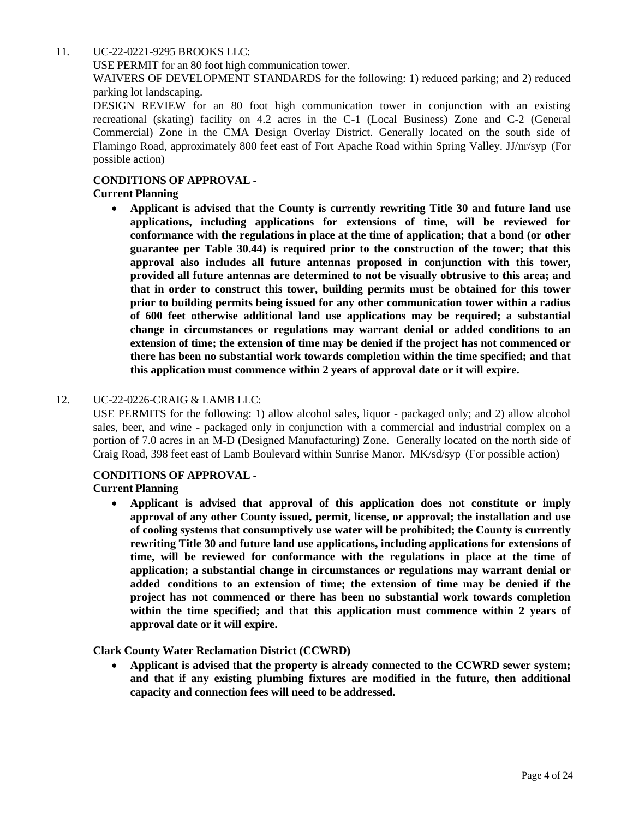#### 11. [UC-22-0221-9295](http://clark.legistar.com/gateway.aspx?m=l&id=/matter.aspx%3Fkey%3D8936) BROOKS LLC:

USE PERMIT for an 80 foot high [communication](http://clark.legistar.com/gateway.aspx?m=l&id=/matter.aspx%3Fkey%3D8936) tower.

WAIVERS OF [DEVELOPMENT](http://clark.legistar.com/gateway.aspx?m=l&id=/matter.aspx%3Fkey%3D8936) STANDARDS for the following: 1) reduced parking; and 2) reduced [parking lot landscaping.](http://clark.legistar.com/gateway.aspx?m=l&id=/matter.aspx%3Fkey%3D8936)

[DESIGN REVIEW for an 80 foot high communication tower in conjunction with an existing](http://clark.legistar.com/gateway.aspx?m=l&id=/matter.aspx%3Fkey%3D8936)  [recreational \(skating\) facility on 4.2 acres in the C-1 \(Local Business\) Zone and C-2 \(General](http://clark.legistar.com/gateway.aspx?m=l&id=/matter.aspx%3Fkey%3D8936)  [Commercial\) Zone in the CMA Design Overlay District. Generally located on the south side of](http://clark.legistar.com/gateway.aspx?m=l&id=/matter.aspx%3Fkey%3D8936)  Flamingo Road, [approximately](http://clark.legistar.com/gateway.aspx?m=l&id=/matter.aspx%3Fkey%3D8936) 800 feet east of Fort Apache Road within Spring Valley. JJ/nr/syp (For [possible action\)](http://clark.legistar.com/gateway.aspx?m=l&id=/matter.aspx%3Fkey%3D8936)

#### **CONDITIONS OF APPROVAL -**

#### **Current Planning**

• **Applicant is advised that the County is currently rewriting Title 30 and future land use applications, including applications for extensions of time, will be reviewed for conformance with the regulations in place at the time of application; that a bond (or other guarantee per Table 30.44) is required prior to the construction of the tower; that this approval also includes all future antennas proposed in conjunction with this tower, provided all future antennas are determined to not be visually obtrusive to this area; and that in order to construct this tower, building permits must be obtained for this tower prior to building permits being issued for any other communication tower within a radius of 600 feet otherwise additional land use applications may be required; a substantial change in circumstances or regulations may warrant denial or added conditions to an extension of time; the extension of time may be denied if the project has not commenced or there has been no substantial work towards completion within the time specified; and that this application must commence within 2 years of approval date or it will expire.**

#### 12. [UC-22-0226-CRAIG](http://clark.legistar.com/gateway.aspx?m=l&id=/matter.aspx%3Fkey%3D8937) & LAMB LLC:

[USE PERMITS for the following: 1\) allow alcohol sales, liquor -](http://clark.legistar.com/gateway.aspx?m=l&id=/matter.aspx%3Fkey%3D8937) packaged only; and 2) allow alcohol sales, beer, and wine - [packaged only in conjunction with a commercial and industrial complex on a](http://clark.legistar.com/gateway.aspx?m=l&id=/matter.aspx%3Fkey%3D8937)  portion of 7.0 acres in an M-D (Designed [Manufacturing\)](http://clark.legistar.com/gateway.aspx?m=l&id=/matter.aspx%3Fkey%3D8937) Zone. Generally located on the north side of [Craig Road, 398 feet east of Lamb Boulevard within Sunrise Manor.](http://clark.legistar.com/gateway.aspx?m=l&id=/matter.aspx%3Fkey%3D8937) MK/sd/syp (For possible action)

#### **CONDITIONS OF APPROVAL -**

**Current Planning**

• **Applicant is advised that approval of this application does not constitute or imply approval of any other County issued, permit, license, or approval; the installation and use of cooling systems that consumptively use water will be prohibited; the County is currently rewriting Title 30 and future land use applications, including applications for extensions of time, will be reviewed for conformance with the regulations in place at the time of application; a substantial change in circumstances or regulations may warrant denial or added conditions to an extension of time; the extension of time may be denied if the project has not commenced or there has been no substantial work towards completion within the time specified; and that this application must commence within 2 years of approval date or it will expire.**

**Clark County Water Reclamation District (CCWRD)**

• **Applicant is advised that the property is already connected to the CCWRD sewer system; and that if any existing plumbing fixtures are modified in the future, then additional capacity and connection fees will need to be addressed.**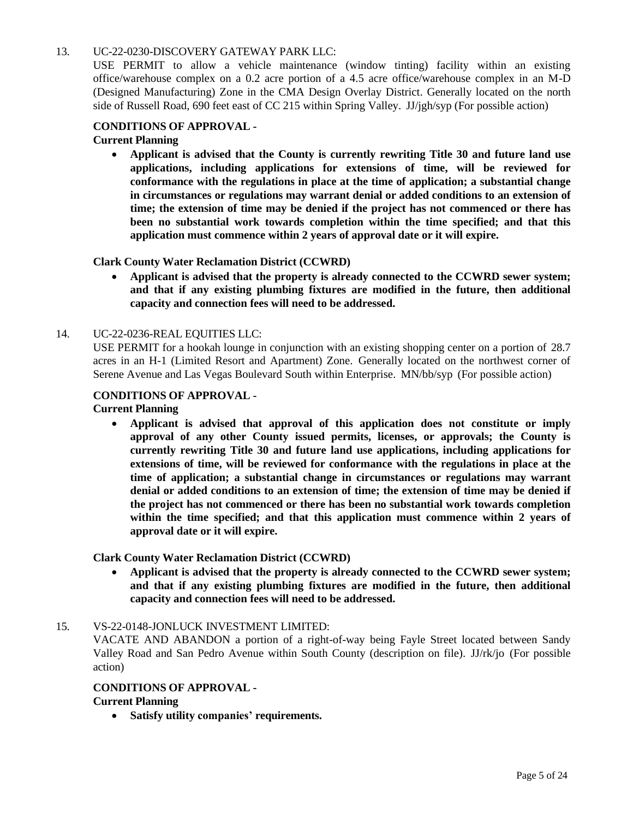#### 13. [UC-22-0230-DISCOVERY GATEWAY PARK](http://clark.legistar.com/gateway.aspx?m=l&id=/matter.aspx%3Fkey%3D8938) LLC:

USE PERMIT to [allow a vehicle maintenance \(window tinting\) facility within an existing](http://clark.legistar.com/gateway.aspx?m=l&id=/matter.aspx%3Fkey%3D8938)  [office/warehouse complex on a 0.2 acre portion of a 4.5 acre office/warehouse complex in an M-D](http://clark.legistar.com/gateway.aspx?m=l&id=/matter.aspx%3Fkey%3D8938)  (Designed [Manufacturing\)](http://clark.legistar.com/gateway.aspx?m=l&id=/matter.aspx%3Fkey%3D8938) Zone in the CMA Design Overlay District. Generally located on the north [side of Russell Road, 690 feet east of CC 215 within Spring](http://clark.legistar.com/gateway.aspx?m=l&id=/matter.aspx%3Fkey%3D8938) Valley. JJ/jgh/syp (For possible action)

#### **CONDITIONS OF APPROVAL -**

**Current Planning**

• **Applicant is advised that the County is currently rewriting Title 30 and future land use applications, including applications for extensions of time, will be reviewed for conformance with the regulations in place at the time of application; a substantial change in circumstances or regulations may warrant denial or added conditions to an extension of time; the extension of time may be denied if the project has not commenced or there has been no substantial work towards completion within the time specified; and that this application must commence within 2 years of approval date or it will expire.**

#### **Clark County Water Reclamation District (CCWRD)**

• **Applicant is advised that the property is already connected to the CCWRD sewer system; and that if any existing plumbing fixtures are modified in the future, then additional capacity and connection fees will need to be addressed.**

#### 14. [UC-22-0236-REAL](http://clark.legistar.com/gateway.aspx?m=l&id=/matter.aspx%3Fkey%3D8939) EQUITIES LLC:

USE [PERMIT for](http://clark.legistar.com/gateway.aspx?m=l&id=/matter.aspx%3Fkey%3D8939) a hookah lounge in conjunction with an existing shopping center on a portion of 28.7 [acres in an H-1 \(Limited Resort and Apartment\) Zone.](http://clark.legistar.com/gateway.aspx?m=l&id=/matter.aspx%3Fkey%3D8939) Generally located on the northwest corner of [Serene Avenue and Las Vegas Boulevard South within Enterprise.](http://clark.legistar.com/gateway.aspx?m=l&id=/matter.aspx%3Fkey%3D8939) MN/bb/syp (For possible action)

#### **CONDITIONS OF APPROVAL -**

**Current Planning**

• **Applicant is advised that approval of this application does not constitute or imply approval of any other County issued permits, licenses, or approvals; the County is currently rewriting Title 30 and future land use applications, including applications for extensions of time, will be reviewed for conformance with the regulations in place at the time of application; a substantial change in circumstances or regulations may warrant denial or added conditions to an extension of time; the extension of time may be denied if the project has not commenced or there has been no substantial work towards completion within the time specified; and that this application must commence within 2 years of approval date or it will expire.**

#### **Clark County Water Reclamation District (CCWRD)**

• **Applicant is advised that the property is already connected to the CCWRD sewer system; and that if any existing plumbing fixtures are modified in the future, then additional capacity and connection fees will need to be addressed.**

#### 15. [VS-22-0148-JONLUCK](http://clark.legistar.com/gateway.aspx?m=l&id=/matter.aspx%3Fkey%3D8940) INVESTMENT LIMITED:

[VACATE AND ABANDON a portion of a right-of-way being Fayle Street located between Sandy](http://clark.legistar.com/gateway.aspx?m=l&id=/matter.aspx%3Fkey%3D8940)  Valley Road and San Pedro Avenue within South [County \(description](http://clark.legistar.com/gateway.aspx?m=l&id=/matter.aspx%3Fkey%3D8940) on file). JJ/rk/jo (For possible [action\)](http://clark.legistar.com/gateway.aspx?m=l&id=/matter.aspx%3Fkey%3D8940)

#### **CONDITIONS OF APPROVAL -**

#### **Current Planning**

• **Satisfy utility companies' requirements.**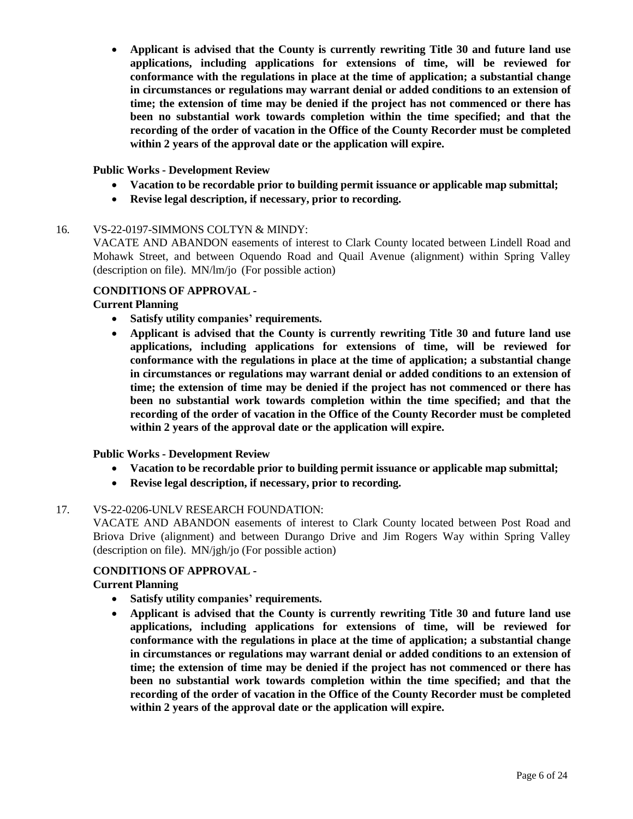• **Applicant is advised that the County is currently rewriting Title 30 and future land use applications, including applications for extensions of time, will be reviewed for conformance with the regulations in place at the time of application; a substantial change in circumstances or regulations may warrant denial or added conditions to an extension of time; the extension of time may be denied if the project has not commenced or there has been no substantial work towards completion within the time specified; and that the recording of the order of vacation in the Office of the County Recorder must be completed within 2 years of the approval date or the application will expire.**

#### **Public Works - Development Review**

- **Vacation to be recordable prior to building permit issuance or applicable map submittal;**
- **Revise legal description, if necessary, prior to recording.**

#### 16. [VS-22-0197-SIMMONS](http://clark.legistar.com/gateway.aspx?m=l&id=/matter.aspx%3Fkey%3D8975) COLTYN & MINDY:

VACATE AND [ABANDON](http://clark.legistar.com/gateway.aspx?m=l&id=/matter.aspx%3Fkey%3D8975) easements of interest to Clark County located between Lindell Road and [Mohawk Street, and between Oquendo Road and Quail Avenue \(alignment\) within Spring Valley](http://clark.legistar.com/gateway.aspx?m=l&id=/matter.aspx%3Fkey%3D8975)  (description on file). MN/lm/jo [\(For possible action\)](http://clark.legistar.com/gateway.aspx?m=l&id=/matter.aspx%3Fkey%3D8975)

#### **CONDITIONS OF APPROVAL -**

#### **Current Planning**

- **Satisfy utility companies' requirements.**
- **Applicant is advised that the County is currently rewriting Title 30 and future land use applications, including applications for extensions of time, will be reviewed for conformance with the regulations in place at the time of application; a substantial change in circumstances or regulations may warrant denial or added conditions to an extension of time; the extension of time may be denied if the project has not commenced or there has been no substantial work towards completion within the time specified; and that the recording of the order of vacation in the Office of the County Recorder must be completed within 2 years of the approval date or the application will expire.**

#### **Public Works - Development Review**

- **Vacation to be recordable prior to building permit issuance or applicable map submittal;**
- **Revise legal description, if necessary, prior to recording.**

#### 17. VS-22-0206-UNLV [RESEARCH FOUNDATION:](http://clark.legistar.com/gateway.aspx?m=l&id=/matter.aspx%3Fkey%3D8941)

VACATE AND [ABANDON](http://clark.legistar.com/gateway.aspx?m=l&id=/matter.aspx%3Fkey%3D8941) easements of interest to Clark County located between Post Road and [Briova Drive \(alignment\) and between Durango Drive and Jim Rogers Way within Spring Valley](http://clark.legistar.com/gateway.aspx?m=l&id=/matter.aspx%3Fkey%3D8941)  (description on file). [MN/jgh/jo \(For possible action\)](http://clark.legistar.com/gateway.aspx?m=l&id=/matter.aspx%3Fkey%3D8941)

#### **CONDITIONS OF APPROVAL -**

**Current Planning**

- **Satisfy utility companies' requirements.**
- **Applicant is advised that the County is currently rewriting Title 30 and future land use applications, including applications for extensions of time, will be reviewed for conformance with the regulations in place at the time of application; a substantial change in circumstances or regulations may warrant denial or added conditions to an extension of time; the extension of time may be denied if the project has not commenced or there has been no substantial work towards completion within the time specified; and that the recording of the order of vacation in the Office of the County Recorder must be completed within 2 years of the approval date or the application will expire.**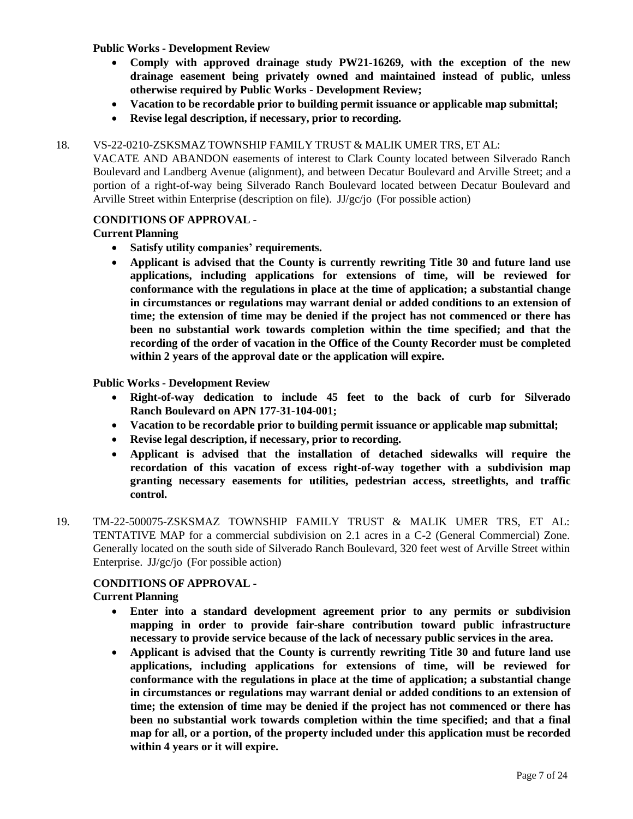#### **Public Works - Development Review**

- **Comply with approved drainage study PW21-16269, with the exception of the new drainage easement being privately owned and maintained instead of public, unless otherwise required by Public Works - Development Review;**
- **Vacation to be recordable prior to building permit issuance or applicable map submittal;**
- **Revise legal description, if necessary, prior to recording.**

#### 18. [VS-22-0210-ZSKSMAZ](http://clark.legistar.com/gateway.aspx?m=l&id=/matter.aspx%3Fkey%3D8942) TOWNSHIP FAMILY TRUST & MALIK UMER TRS, ET AL:

[VACATE AND ABANDON easements of interest to Clark County located between Silverado Ranch](http://clark.legistar.com/gateway.aspx?m=l&id=/matter.aspx%3Fkey%3D8942)  Boulevard and Landberg [Avenue \(alignment\),](http://clark.legistar.com/gateway.aspx?m=l&id=/matter.aspx%3Fkey%3D8942) and between Decatur Boulevard and Arville Street; and a [portion of a right-of-way being Silverado Ranch Boulevard located between Decatur Boulevard and](http://clark.legistar.com/gateway.aspx?m=l&id=/matter.aspx%3Fkey%3D8942)  [Arville Street within Enterprise \(description on file\).](http://clark.legistar.com/gateway.aspx?m=l&id=/matter.aspx%3Fkey%3D8942) JJ/gc/jo (For possible action)

#### **CONDITIONS OF APPROVAL -**

#### **Current Planning**

- **Satisfy utility companies' requirements.**
- **Applicant is advised that the County is currently rewriting Title 30 and future land use applications, including applications for extensions of time, will be reviewed for conformance with the regulations in place at the time of application; a substantial change in circumstances or regulations may warrant denial or added conditions to an extension of time; the extension of time may be denied if the project has not commenced or there has been no substantial work towards completion within the time specified; and that the recording of the order of vacation in the Office of the County Recorder must be completed within 2 years of the approval date or the application will expire.**

#### **Public Works - Development Review**

- **Right-of-way dedication to include 45 feet to the back of curb for Silverado Ranch Boulevard on APN 177-31-104-001;**
- **Vacation to be recordable prior to building permit issuance or applicable map submittal;**
- **Revise legal description, if necessary, prior to recording.**
- **Applicant is advised that the installation of detached sidewalks will require the recordation of this vacation of excess right-of-way together with a subdivision map granting necessary easements for utilities, pedestrian access, streetlights, and traffic control.**
- 19. [TM-22-500075-ZSKSMAZ TOWNSHIP FAMILY TRUST & MALIK UMER TRS, ET AL:](http://clark.legistar.com/gateway.aspx?m=l&id=/matter.aspx%3Fkey%3D8943)  [TENTATIVE MAP for a commercial subdivision on](http://clark.legistar.com/gateway.aspx?m=l&id=/matter.aspx%3Fkey%3D8943) 2.1 acres in a C-2 (General Commercial) Zone. Generally located on the south side of Silverado Ranch Boulevard, 320 feet west of Arville [Street within](http://clark.legistar.com/gateway.aspx?m=l&id=/matter.aspx%3Fkey%3D8943)  Enterprise. JJ/gc/jo [\(For possible action\)](http://clark.legistar.com/gateway.aspx?m=l&id=/matter.aspx%3Fkey%3D8943)

#### **CONDITIONS OF APPROVAL -**

#### **Current Planning**

- **Enter into a standard development agreement prior to any permits or subdivision mapping in order to provide fair-share contribution toward public infrastructure necessary to provide service because of the lack of necessary public services in the area.**
- **Applicant is advised that the County is currently rewriting Title 30 and future land use applications, including applications for extensions of time, will be reviewed for conformance with the regulations in place at the time of application; a substantial change in circumstances or regulations may warrant denial or added conditions to an extension of time; the extension of time may be denied if the project has not commenced or there has been no substantial work towards completion within the time specified; and that a final map for all, or a portion, of the property included under this application must be recorded within 4 years or it will expire.**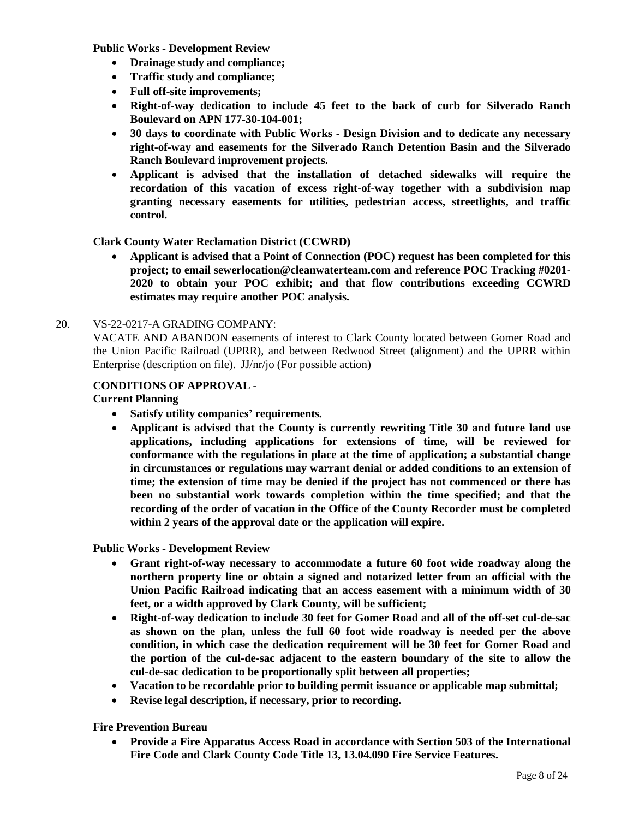**Public Works - Development Review**

- **Drainage study and compliance;**
- **Traffic study and compliance;**
- **Full off-site improvements;**
- **Right-of-way dedication to include 45 feet to the back of curb for Silverado Ranch Boulevard on APN 177-30-104-001;**
- **30 days to coordinate with Public Works - Design Division and to dedicate any necessary right-of-way and easements for the Silverado Ranch Detention Basin and the Silverado Ranch Boulevard improvement projects.**
- **Applicant is advised that the installation of detached sidewalks will require the recordation of this vacation of excess right-of-way together with a subdivision map granting necessary easements for utilities, pedestrian access, streetlights, and traffic control.**

#### **Clark County Water Reclamation District (CCWRD)**

• **Applicant is advised that a Point of Connection (POC) request has been completed for this project; to email [sewerlocation@cleanwaterteam.com](mailto:sewerlocation@cleanwaterteam.com) and reference POC Tracking #0201- 2020 to obtain your POC exhibit; and that flow contributions exceeding CCWRD estimates may require another POC analysis.**

#### 20. [VS-22-0217-A](http://clark.legistar.com/gateway.aspx?m=l&id=/matter.aspx%3Fkey%3D8944) GRADING COMPANY:

VACATE AND [ABANDON](http://clark.legistar.com/gateway.aspx?m=l&id=/matter.aspx%3Fkey%3D8944) easements of interest to Clark County located between Gomer Road and [the Union Pacific Railroad \(UPRR\), and between Redwood Street \(alignment\) and the UPRR within](http://clark.legistar.com/gateway.aspx?m=l&id=/matter.aspx%3Fkey%3D8944)  [Enterprise \(description on file\).](http://clark.legistar.com/gateway.aspx?m=l&id=/matter.aspx%3Fkey%3D8944) JJ/nr/jo (For possible action)

#### **CONDITIONS OF APPROVAL -**

#### **Current Planning**

- **Satisfy utility companies' requirements.**
- **Applicant is advised that the County is currently rewriting Title 30 and future land use applications, including applications for extensions of time, will be reviewed for conformance with the regulations in place at the time of application; a substantial change in circumstances or regulations may warrant denial or added conditions to an extension of time; the extension of time may be denied if the project has not commenced or there has been no substantial work towards completion within the time specified; and that the recording of the order of vacation in the Office of the County Recorder must be completed within 2 years of the approval date or the application will expire.**

**Public Works - Development Review**

- **Grant right-of-way necessary to accommodate a future 60 foot wide roadway along the northern property line or obtain a signed and notarized letter from an official with the Union Pacific Railroad indicating that an access easement with a minimum width of 30 feet, or a width approved by Clark County, will be sufficient;**
- **Right-of-way dedication to include 30 feet for Gomer Road and all of the off-set cul-de-sac as shown on the plan, unless the full 60 foot wide roadway is needed per the above condition, in which case the dedication requirement will be 30 feet for Gomer Road and the portion of the cul-de-sac adjacent to the eastern boundary of the site to allow the cul-de-sac dedication to be proportionally split between all properties;**
- **Vacation to be recordable prior to building permit issuance or applicable map submittal;**
- **Revise legal description, if necessary, prior to recording.**

#### **Fire Prevention Bureau**

• **Provide a Fire Apparatus Access Road in accordance with Section 503 of the International Fire Code and Clark County Code Title 13, 13.04.090 Fire Service Features.**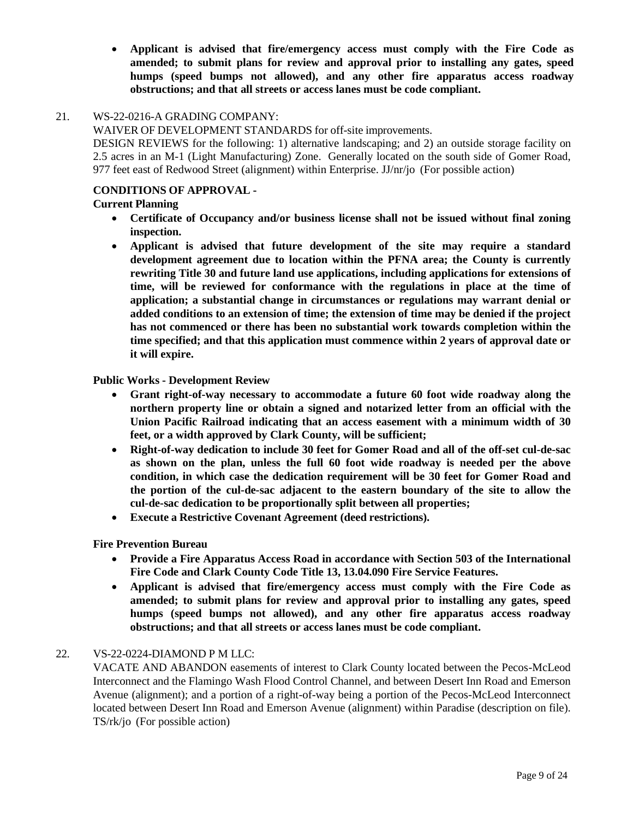• **Applicant is advised that fire/emergency access must comply with the Fire Code as amended; to submit plans for review and approval prior to installing any gates, speed humps (speed bumps not allowed), and any other fire apparatus access roadway obstructions; and that all streets or access lanes must be code compliant.**

#### 21. [WS-22-0216-A](http://clark.legistar.com/gateway.aspx?m=l&id=/matter.aspx%3Fkey%3D8945) GRADING COMPANY:

WAIVER OF [DEVELOPMENT](http://clark.legistar.com/gateway.aspx?m=l&id=/matter.aspx%3Fkey%3D8945) STANDARDS for off-site improvements.

DESIGN REVIEWS for the following: 1) alternative [landscaping;](http://clark.legistar.com/gateway.aspx?m=l&id=/matter.aspx%3Fkey%3D8945) and 2) an outside storage facility on 2.5 acres in an M-1 (Light [Manufacturing\)](http://clark.legistar.com/gateway.aspx?m=l&id=/matter.aspx%3Fkey%3D8945) Zone. Generally located on the south side of Gomer Road, [977 feet east of Redwood Street \(alignment\) within Enterprise. JJ/nr/jo](http://clark.legistar.com/gateway.aspx?m=l&id=/matter.aspx%3Fkey%3D8945) (For possible action)

#### **CONDITIONS OF APPROVAL -**

#### **Current Planning**

- **Certificate of Occupancy and/or business license shall not be issued without final zoning inspection.**
- **Applicant is advised that future development of the site may require a standard development agreement due to location within the PFNA area; the County is currently rewriting Title 30 and future land use applications, including applications for extensions of time, will be reviewed for conformance with the regulations in place at the time of application; a substantial change in circumstances or regulations may warrant denial or added conditions to an extension of time; the extension of time may be denied if the project has not commenced or there has been no substantial work towards completion within the time specified; and that this application must commence within 2 years of approval date or it will expire.**

#### **Public Works - Development Review**

- **Grant right-of-way necessary to accommodate a future 60 foot wide roadway along the northern property line or obtain a signed and notarized letter from an official with the Union Pacific Railroad indicating that an access easement with a minimum width of 30 feet, or a width approved by Clark County, will be sufficient;**
- **Right-of-way dedication to include 30 feet for Gomer Road and all of the off-set cul-de-sac as shown on the plan, unless the full 60 foot wide roadway is needed per the above condition, in which case the dedication requirement will be 30 feet for Gomer Road and the portion of the cul-de-sac adjacent to the eastern boundary of the site to allow the cul-de-sac dedication to be proportionally split between all properties;**
- **Execute a Restrictive Covenant Agreement (deed restrictions).**

#### **Fire Prevention Bureau**

- **Provide a Fire Apparatus Access Road in accordance with Section 503 of the International Fire Code and Clark County Code Title 13, 13.04.090 Fire Service Features.**
- **Applicant is advised that fire/emergency access must comply with the Fire Code as amended; to submit plans for review and approval prior to installing any gates, speed humps (speed bumps not allowed), and any other fire apparatus access roadway obstructions; and that all streets or access lanes must be code compliant.**

#### 22. [VS-22-0224-DIAMOND P](http://clark.legistar.com/gateway.aspx?m=l&id=/matter.aspx%3Fkey%3D8946) M LLC:

[VACATE AND ABANDON easements of interest to Clark County located between the Pecos-McLeod](http://clark.legistar.com/gateway.aspx?m=l&id=/matter.aspx%3Fkey%3D8946)  [Interconnect](http://clark.legistar.com/gateway.aspx?m=l&id=/matter.aspx%3Fkey%3D8946) and the Flamingo Wash Flood Control Channel, and between Desert Inn Road and Emerson [Avenue \(alignment\); and a portion of a right-of-way being a portion of the Pecos-McLeod Interconnect](http://clark.legistar.com/gateway.aspx?m=l&id=/matter.aspx%3Fkey%3D8946)  located between Desert Inn Road and Emerson [Avenue \(alignment\)](http://clark.legistar.com/gateway.aspx?m=l&id=/matter.aspx%3Fkey%3D8946) within Paradise (description on file). TS/rk/jo [\(For possible action\)](http://clark.legistar.com/gateway.aspx?m=l&id=/matter.aspx%3Fkey%3D8946)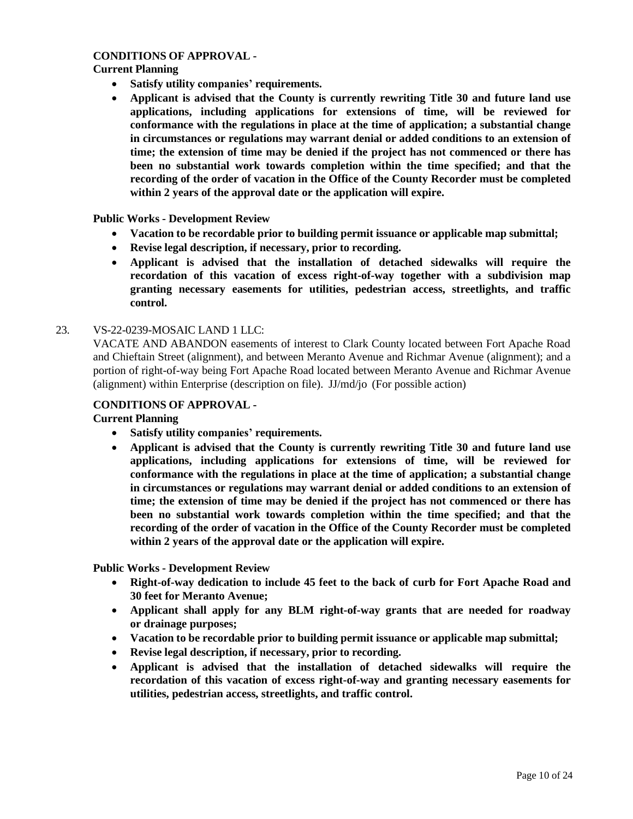#### **CONDITIONS OF APPROVAL -**

#### **Current Planning**

- **Satisfy utility companies' requirements.**
- **Applicant is advised that the County is currently rewriting Title 30 and future land use applications, including applications for extensions of time, will be reviewed for conformance with the regulations in place at the time of application; a substantial change in circumstances or regulations may warrant denial or added conditions to an extension of time; the extension of time may be denied if the project has not commenced or there has been no substantial work towards completion within the time specified; and that the recording of the order of vacation in the Office of the County Recorder must be completed within 2 years of the approval date or the application will expire.**

#### **Public Works - Development Review**

- **Vacation to be recordable prior to building permit issuance or applicable map submittal;**
- **Revise legal description, if necessary, prior to recording.**
- **Applicant is advised that the installation of detached sidewalks will require the recordation of this vacation of excess right-of-way together with a subdivision map granting necessary easements for utilities, pedestrian access, streetlights, and traffic control.**

#### 23. [VS-22-0239-MOSAIC](http://clark.legistar.com/gateway.aspx?m=l&id=/matter.aspx%3Fkey%3D8947) LAND 1 LLC:

[VACATE AND ABANDON easements of interest to Clark County located between Fort Apache Road](http://clark.legistar.com/gateway.aspx?m=l&id=/matter.aspx%3Fkey%3D8947)  and Chieftain Street (alignment), and between Meranto Avenue and Richmar [Avenue \(alignment\);](http://clark.legistar.com/gateway.aspx?m=l&id=/matter.aspx%3Fkey%3D8947) and a portion of [right-of-way](http://clark.legistar.com/gateway.aspx?m=l&id=/matter.aspx%3Fkey%3D8947) being Fort Apache Road located between Meranto Avenue and Richmar Avenue [\(alignment\) within Enterprise \(description on file\).](http://clark.legistar.com/gateway.aspx?m=l&id=/matter.aspx%3Fkey%3D8947) JJ/md/jo (For possible action)

#### **CONDITIONS OF APPROVAL -**

**Current Planning**

- **Satisfy utility companies' requirements.**
- **Applicant is advised that the County is currently rewriting Title 30 and future land use applications, including applications for extensions of time, will be reviewed for conformance with the regulations in place at the time of application; a substantial change in circumstances or regulations may warrant denial or added conditions to an extension of time; the extension of time may be denied if the project has not commenced or there has been no substantial work towards completion within the time specified; and that the recording of the order of vacation in the Office of the County Recorder must be completed within 2 years of the approval date or the application will expire.**

**Public Works - Development Review**

- **Right-of-way dedication to include 45 feet to the back of curb for Fort Apache Road and 30 feet for Meranto Avenue;**
- **Applicant shall apply for any BLM right-of-way grants that are needed for roadway or drainage purposes;**
- **Vacation to be recordable prior to building permit issuance or applicable map submittal;**
- **Revise legal description, if necessary, prior to recording.**
- **Applicant is advised that the installation of detached sidewalks will require the recordation of this vacation of excess right-of-way and granting necessary easements for utilities, pedestrian access, streetlights, and traffic control.**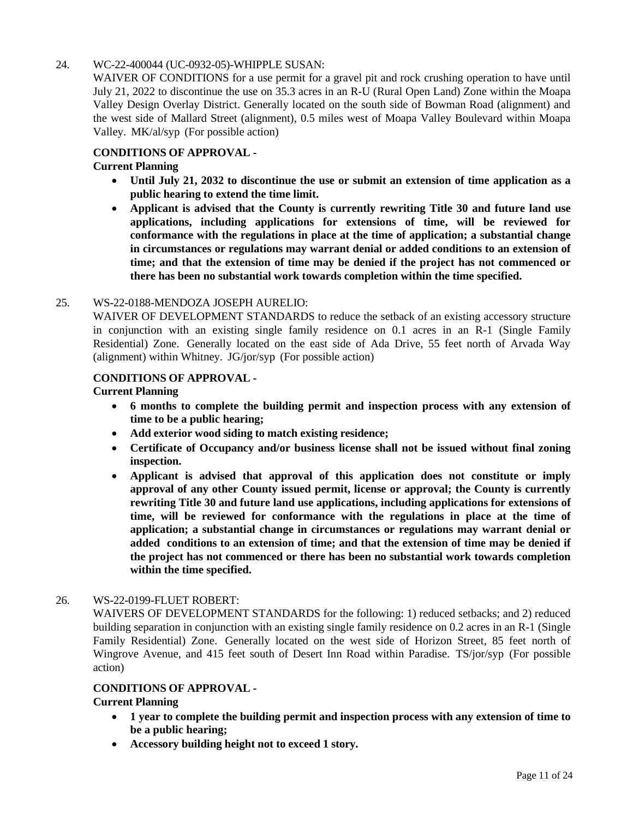#### 24. WC-22-400044 [\(UC-0932-05\)-WHIPPLE](http://clark.legistar.com/gateway.aspx?m=l&id=/matter.aspx%3Fkey%3D8948) SUSAN:

[WAIVER OF CONDITIONS for a use permit for a gravel pit and rock](http://clark.legistar.com/gateway.aspx?m=l&id=/matter.aspx%3Fkey%3D8948) crushing operation to have until July 21, 2022 to discontinue the use on 35.3 acres in an R-U [\(Rural Open](http://clark.legistar.com/gateway.aspx?m=l&id=/matter.aspx%3Fkey%3D8948) Land) Zone within the Moapa [Valley Design Overlay District. Generally located on the south side of Bowman Road \(alignment\) and](http://clark.legistar.com/gateway.aspx?m=l&id=/matter.aspx%3Fkey%3D8948)  [the west side of Mallard Street \(alignment\), 0.5 miles west of Moapa Valley Boulevard within Moapa](http://clark.legistar.com/gateway.aspx?m=l&id=/matter.aspx%3Fkey%3D8948)  Valley. MK/al/syp [\(For possible action\)](http://clark.legistar.com/gateway.aspx?m=l&id=/matter.aspx%3Fkey%3D8948)

#### **CONDITIONS OF APPROVAL -**

#### **Current Planning**

- **Until July 21, 2032 to discontinue the use or submit an extension of time application as a public hearing to extend the time limit.**
- **Applicant is advised that the County is currently rewriting Title 30 and future land use applications, including applications for extensions of time, will be reviewed for conformance with the regulations in place at the time of application; a substantial change in circumstances or regulations may warrant denial or added conditions to an extension of time; and that the extension of time may be denied if the project has not commenced or there has been no substantial work towards completion within the time specified.**

#### 25. [WS-22-0188-MENDOZA](http://clark.legistar.com/gateway.aspx?m=l&id=/matter.aspx%3Fkey%3D8949) JOSEPH AURELIO:

WAIVER OF [DEVELOPMENT](http://clark.legistar.com/gateway.aspx?m=l&id=/matter.aspx%3Fkey%3D8949) STANDARDS to reduce the setback of an existing accessory structure [in conjunction with an existing single family residence on 0.1 acres in an R-1 \(Single Family](http://clark.legistar.com/gateway.aspx?m=l&id=/matter.aspx%3Fkey%3D8949)  Residential) Zone. [Generally located on the east side of Ada Drive, 55 feet north of Arvada Way](http://clark.legistar.com/gateway.aspx?m=l&id=/matter.aspx%3Fkey%3D8949)  [\(alignment\) within Whitney.](http://clark.legistar.com/gateway.aspx?m=l&id=/matter.aspx%3Fkey%3D8949) JG/jor/syp (For possible action)

#### **CONDITIONS OF APPROVAL -**

#### **Current Planning**

- **6 months to complete the building permit and inspection process with any extension of time to be a public hearing;**
- **Add exterior wood siding to match existing residence;**
- **Certificate of Occupancy and/or business license shall not be issued without final zoning inspection.**
- **Applicant is advised that approval of this application does not constitute or imply approval of any other County issued permit, license or approval; the County is currently rewriting Title 30 and future land use applications, including applications for extensions of time, will be reviewed for conformance with the regulations in place at the time of application; a substantial change in circumstances or regulations may warrant denial or added conditions to an extension of time; and that the extension of time may be denied if the project has not commenced or there has been no substantial work towards completion within the time specified.**

#### 26. [WS-22-0199-FLUET](http://clark.legistar.com/gateway.aspx?m=l&id=/matter.aspx%3Fkey%3D8950) ROBERT:

WAIVERS OF [DEVELOPMENT STANDARDS](http://clark.legistar.com/gateway.aspx?m=l&id=/matter.aspx%3Fkey%3D8950) for the following: 1) reduced setbacks; and 2) reduced building separation in [conjunction](http://clark.legistar.com/gateway.aspx?m=l&id=/matter.aspx%3Fkey%3D8950) with an existing single family residence on 0.2 acres in an R-1 (Single Family Residential) Zone. [Generally located on the west side of Horizon Street, 85 feet north of](http://clark.legistar.com/gateway.aspx?m=l&id=/matter.aspx%3Fkey%3D8950)  [Wingrove Avenue, and 415 feet south of Desert Inn Road within Paradise.](http://clark.legistar.com/gateway.aspx?m=l&id=/matter.aspx%3Fkey%3D8950) TS/jor/syp (For possible [action\)](http://clark.legistar.com/gateway.aspx?m=l&id=/matter.aspx%3Fkey%3D8950)

#### **CONDITIONS OF APPROVAL -**

#### **Current Planning**

- **1 year to complete the building permit and inspection process with any extension of time to be a public hearing;**
- **Accessory building height not to exceed 1 story.**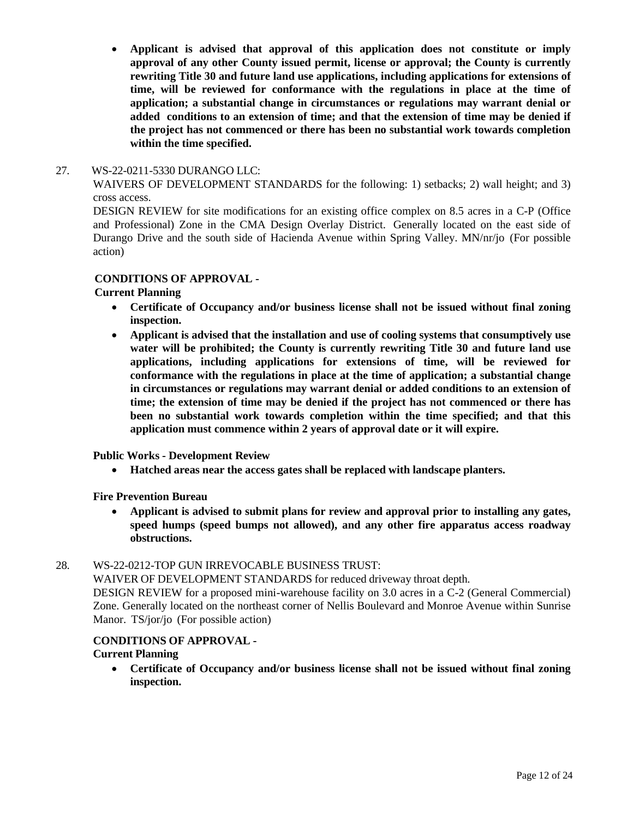• **Applicant is advised that approval of this application does not constitute or imply approval of any other County issued permit, license or approval; the County is currently rewriting Title 30 and future land use applications, including applications for extensions of time, will be reviewed for conformance with the regulations in place at the time of application; a substantial change in circumstances or regulations may warrant denial or added conditions to an extension of time; and that the extension of time may be denied if the project has not commenced or there has been no substantial work towards completion within the time specified.**

#### 27. [WS-22-0211-5330](http://clark.legistar.com/gateway.aspx?m=l&id=/matter.aspx%3Fkey%3D8951) DURANGO LLC:

WAIVERS OF [DEVELOPMENT](http://clark.legistar.com/gateway.aspx?m=l&id=/matter.aspx%3Fkey%3D8951) STANDARDS for the following: 1) setbacks; 2) wall height; and 3) [cross access.](http://clark.legistar.com/gateway.aspx?m=l&id=/matter.aspx%3Fkey%3D8951)

DESIGN REVIEW for site [modifications](http://clark.legistar.com/gateway.aspx?m=l&id=/matter.aspx%3Fkey%3D8951) for an existing office complex on 8.5 acres in a C-P (Office [and Professional\) Zone in the CMA Design Overlay District.](http://clark.legistar.com/gateway.aspx?m=l&id=/matter.aspx%3Fkey%3D8951) Generally located on the east side of Durango Drive and the south side of Hacienda Avenue within Spring Valley. [MN/nr/jo](http://clark.legistar.com/gateway.aspx?m=l&id=/matter.aspx%3Fkey%3D8951) (For possible [action\)](http://clark.legistar.com/gateway.aspx?m=l&id=/matter.aspx%3Fkey%3D8951)

#### **CONDITIONS OF APPROVAL -**

#### **Current Planning**

- **Certificate of Occupancy and/or business license shall not be issued without final zoning inspection.**
- **Applicant is advised that the installation and use of cooling systems that consumptively use water will be prohibited; the County is currently rewriting Title 30 and future land use applications, including applications for extensions of time, will be reviewed for conformance with the regulations in place at the time of application; a substantial change in circumstances or regulations may warrant denial or added conditions to an extension of time; the extension of time may be denied if the project has not commenced or there has been no substantial work towards completion within the time specified; and that this application must commence within 2 years of approval date or it will expire.**

#### **Public Works - Development Review**

• **Hatched areas near the access gates shall be replaced with landscape planters.**

**Fire Prevention Bureau**

• **Applicant is advised to submit plans for review and approval prior to installing any gates, speed humps (speed bumps not allowed), and any other fire apparatus access roadway obstructions.**

#### 28. WS-22-0212-TOP [GUN IRREVOCABLE](http://clark.legistar.com/gateway.aspx?m=l&id=/matter.aspx%3Fkey%3D8952) BUSINESS TRUST:

WAIVER OF [DEVELOPMENT](http://clark.legistar.com/gateway.aspx?m=l&id=/matter.aspx%3Fkey%3D8952) STANDARDS for reduced driveway throat depth.

[DESIGN REVIEW for a proposed mini-warehouse facility on 3.0 acres in a C-2 \(General Commercial\)](http://clark.legistar.com/gateway.aspx?m=l&id=/matter.aspx%3Fkey%3D8952)  Zone. Generally located on the northeast corner of Nellis [Boulevard](http://clark.legistar.com/gateway.aspx?m=l&id=/matter.aspx%3Fkey%3D8952) and Monroe Avenue within Sunrise Manor. TS/jor/jo [\(For possible action\)](http://clark.legistar.com/gateway.aspx?m=l&id=/matter.aspx%3Fkey%3D8952)

### **CONDITIONS OF APPROVAL -**

#### **Current Planning**

• **Certificate of Occupancy and/or business license shall not be issued without final zoning inspection.**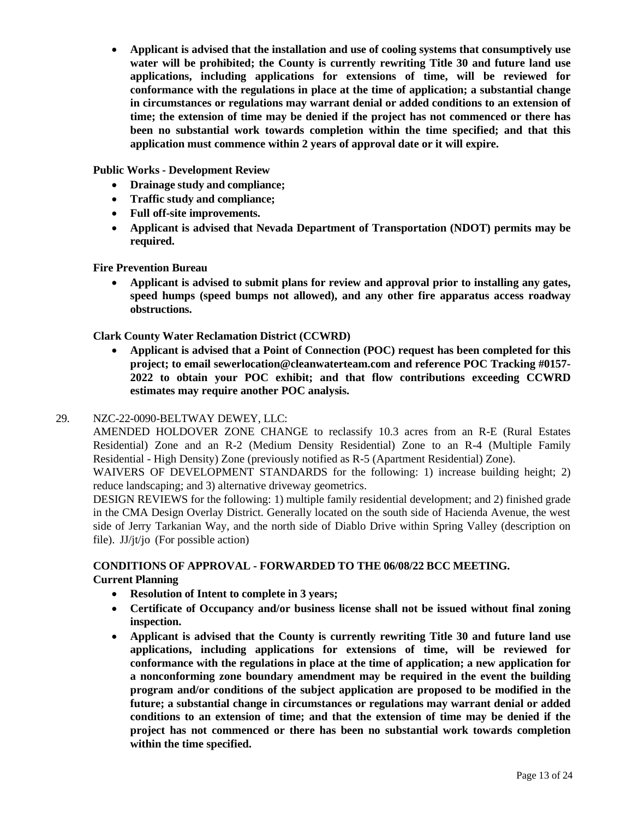• **Applicant is advised that the installation and use of cooling systems that consumptively use water will be prohibited; the County is currently rewriting Title 30 and future land use applications, including applications for extensions of time, will be reviewed for conformance with the regulations in place at the time of application; a substantial change in circumstances or regulations may warrant denial or added conditions to an extension of time; the extension of time may be denied if the project has not commenced or there has been no substantial work towards completion within the time specified; and that this application must commence within 2 years of approval date or it will expire.**

**Public Works - Development Review**

- **Drainage study and compliance;**
- **Traffic study and compliance;**
- **Full off-site improvements.**
- **Applicant is advised that Nevada Department of Transportation (NDOT) permits may be required.**

**Fire Prevention Bureau**

• **Applicant is advised to submit plans for review and approval prior to installing any gates, speed humps (speed bumps not allowed), and any other fire apparatus access roadway obstructions.**

**Clark County Water Reclamation District (CCWRD)**

• **Applicant is advised that a Point of Connection (POC) request has been completed for this project; to email [sewerlocation@cleanwaterteam.com](mailto:sewerlocation@cleanwaterteam.com) and reference POC Tracking #0157- 2022 to obtain your POC exhibit; and that flow contributions exceeding CCWRD estimates may require another POC analysis.**

#### 29. [NZC-22-0090-BELTWAY DEWEY,](http://clark.legistar.com/gateway.aspx?m=l&id=/matter.aspx%3Fkey%3D8953) LLC:

AMENDED [HOLDOVER](http://clark.legistar.com/gateway.aspx?m=l&id=/matter.aspx%3Fkey%3D8953) ZONE CHANGE to reclassify 10.3 acres from an R-E (Rural Estates [Residential\) Zone and an R-2 \(Medium Density Residential\) Zone to an R-4 \(Multiple Family](http://clark.legistar.com/gateway.aspx?m=l&id=/matter.aspx%3Fkey%3D8953)  Residential - [High Density\) Zone \(previously notified as R-5 \(Apartment Residential\) Zone\).](http://clark.legistar.com/gateway.aspx?m=l&id=/matter.aspx%3Fkey%3D8953)

WAIVERS OF [DEVELOPMENT](http://clark.legistar.com/gateway.aspx?m=l&id=/matter.aspx%3Fkey%3D8953) STANDARDS for the following: 1) increase building height; 2) [reduce landscaping; and 3\) alternative driveway](http://clark.legistar.com/gateway.aspx?m=l&id=/matter.aspx%3Fkey%3D8953) geometrics.

DESIGN REVIEWS for the following: 1) multiple family residential [development;](http://clark.legistar.com/gateway.aspx?m=l&id=/matter.aspx%3Fkey%3D8953) and 2) finished grade [in the CMA Design Overlay District. Generally located on the south side of Hacienda Avenue, the west](http://clark.legistar.com/gateway.aspx?m=l&id=/matter.aspx%3Fkey%3D8953)  [side of Jerry Tarkanian Way, and the north side of Diablo Drive within Spring Valley \(description on](http://clark.legistar.com/gateway.aspx?m=l&id=/matter.aspx%3Fkey%3D8953)  file). JJ/jt/jo [\(For possible action\)](http://clark.legistar.com/gateway.aspx?m=l&id=/matter.aspx%3Fkey%3D8953)

#### **CONDITIONS OF APPROVAL - FORWARDED TO THE 06/08/22 BCC MEETING. Current Planning**

- **Resolution of Intent to complete in 3 years;**
- **Certificate of Occupancy and/or business license shall not be issued without final zoning inspection.**
- **Applicant is advised that the County is currently rewriting Title 30 and future land use applications, including applications for extensions of time, will be reviewed for conformance with the regulations in place at the time of application; a new application for a nonconforming zone boundary amendment may be required in the event the building program and/or conditions of the subject application are proposed to be modified in the future; a substantial change in circumstances or regulations may warrant denial or added conditions to an extension of time; and that the extension of time may be denied if the project has not commenced or there has been no substantial work towards completion within the time specified.**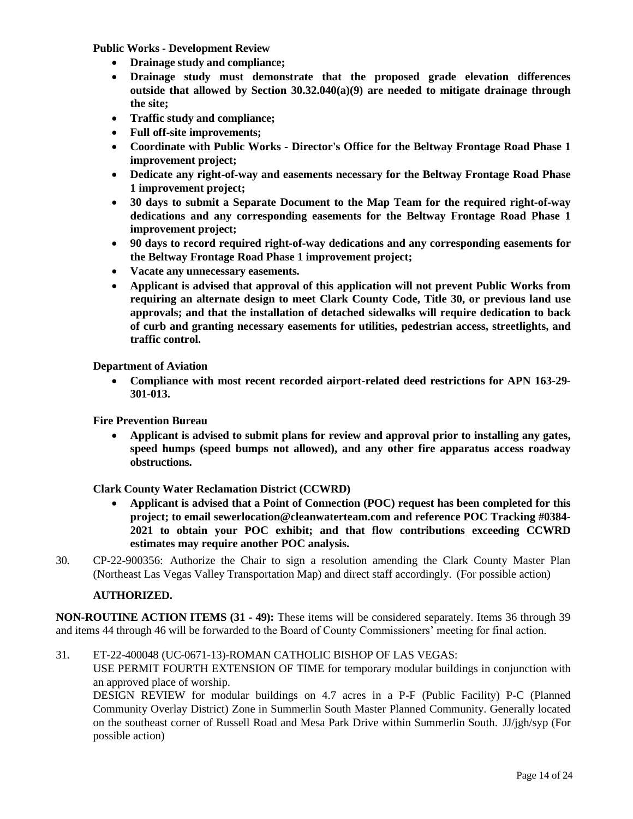**Public Works - Development Review**

- **Drainage study and compliance;**
- **Drainage study must demonstrate that the proposed grade elevation differences outside that allowed by Section 30.32.040(a)(9) are needed to mitigate drainage through the site;**
- **Traffic study and compliance;**
- **Full off-site improvements;**
- **Coordinate with Public Works - Director's Office for the Beltway Frontage Road Phase 1 improvement project;**
- **Dedicate any right-of-way and easements necessary for the Beltway Frontage Road Phase 1 improvement project;**
- **30 days to submit a Separate Document to the Map Team for the required right-of-way dedications and any corresponding easements for the Beltway Frontage Road Phase 1 improvement project;**
- **90 days to record required right-of-way dedications and any corresponding easements for the Beltway Frontage Road Phase 1 improvement project;**
- **Vacate any unnecessary easements.**
- **Applicant is advised that approval of this application will not prevent Public Works from requiring an alternate design to meet Clark County Code, Title 30, or previous land use approvals; and that the installation of detached sidewalks will require dedication to back of curb and granting necessary easements for utilities, pedestrian access, streetlights, and traffic control.**

**Department of Aviation**

• **Compliance with most recent recorded airport-related deed restrictions for APN 163-29- 301-013.**

**Fire Prevention Bureau**

• **Applicant is advised to submit plans for review and approval prior to installing any gates, speed humps (speed bumps not allowed), and any other fire apparatus access roadway obstructions.**

**Clark County Water Reclamation District (CCWRD)**

- **Applicant is advised that a Point of Connection (POC) request has been completed for this project; to email [sewerlocation@cleanwaterteam.com](mailto:sewerlocation@cleanwaterteam.com) and reference POC Tracking #0384- 2021 to obtain your POC exhibit; and that flow contributions exceeding CCWRD estimates may require another POC analysis.**
- 30. CP-22-900356: [Authorize the Chair to sign a resolution amending the Clark County Master Plan](http://clark.legistar.com/gateway.aspx?m=l&id=/matter.aspx%3Fkey%3D8954)  [\(Northeast Las](http://clark.legistar.com/gateway.aspx?m=l&id=/matter.aspx%3Fkey%3D8954) Vegas Valley Transportation Map) and direct staff accordingly. (For possible action)

#### **AUTHORIZED.**

**NON-ROUTINE ACTION ITEMS (31 - 49):** These items will be considered separately. Items 36 through 39 and items 44 through 46 will be forwarded to the Board of County Commissioners' meeting for final action.

31. ET-22-400048 [\(UC-0671-13\)-ROMAN](http://clark.legistar.com/gateway.aspx?m=l&id=/matter.aspx%3Fkey%3D8955) CATHOLIC BISHOP OF LAS VEGAS:

USE PERMIT FOURTH [EXTENSION](http://clark.legistar.com/gateway.aspx?m=l&id=/matter.aspx%3Fkey%3D8955) OF TIME for temporary modular buildings in conjunction with [an approved place of worship.](http://clark.legistar.com/gateway.aspx?m=l&id=/matter.aspx%3Fkey%3D8955)

[DESIGN REVIEW for modular buildings on 4.7 acres in a P-F \(Public Facility\) P-C \(Planned](http://clark.legistar.com/gateway.aspx?m=l&id=/matter.aspx%3Fkey%3D8955)  Community Overlay District) Zone in Summerlin South Master Planned [Community.](http://clark.legistar.com/gateway.aspx?m=l&id=/matter.aspx%3Fkey%3D8955) Generally located on the [southeast corner](http://clark.legistar.com/gateway.aspx?m=l&id=/matter.aspx%3Fkey%3D8955) of Russell Road and Mesa Park Drive within Summerlin South. JJ/jgh/syp (For [possible action\)](http://clark.legistar.com/gateway.aspx?m=l&id=/matter.aspx%3Fkey%3D8955)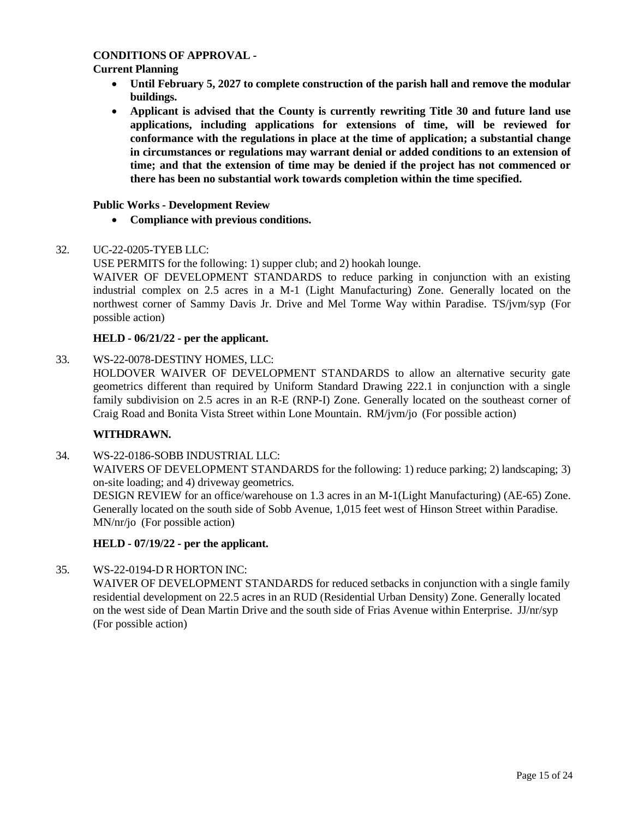#### **CONDITIONS OF APPROVAL -**

#### **Current Planning**

- **Until February 5, 2027 to complete construction of the parish hall and remove the modular buildings.**
- **Applicant is advised that the County is currently rewriting Title 30 and future land use applications, including applications for extensions of time, will be reviewed for conformance with the regulations in place at the time of application; a substantial change in circumstances or regulations may warrant denial or added conditions to an extension of time; and that the extension of time may be denied if the project has not commenced or there has been no substantial work towards completion within the time specified.**

#### **Public Works - Development Review**

• **Compliance with previous conditions.**

#### 32. [UC-22-0205-TYEB](http://clark.legistar.com/gateway.aspx?m=l&id=/matter.aspx%3Fkey%3D8956) LLC:

USE [PERMITS](http://clark.legistar.com/gateway.aspx?m=l&id=/matter.aspx%3Fkey%3D8956) for the following: 1) supper club; and 2) hookah lounge.

WAIVER OF DEVELOPMENT STANDARDS to reduce parking in conjunction with an existing [industrial complex on 2.5 acres in a M-1 \(Light Manufacturing\) Zone. Generally located on the](http://clark.legistar.com/gateway.aspx?m=l&id=/matter.aspx%3Fkey%3D8956)  northwest corner of Sammy Davis Jr. Drive and Mel Torme Way within Paradise. [TS/jvm/syp](http://clark.legistar.com/gateway.aspx?m=l&id=/matter.aspx%3Fkey%3D8956) (For [possible action\)](http://clark.legistar.com/gateway.aspx?m=l&id=/matter.aspx%3Fkey%3D8956)

#### **HELD - 06/21/22 - per the applicant.**

33. [WS-22-0078-DESTINY HOMES,](http://clark.legistar.com/gateway.aspx?m=l&id=/matter.aspx%3Fkey%3D8957) LLC:

[HOLDOVER WAIVER OF DEVELOPMENT STANDARDS to allow an alternative security gate](http://clark.legistar.com/gateway.aspx?m=l&id=/matter.aspx%3Fkey%3D8957)  [geometrics different than required by Uniform Standard Drawing 222.1 in conjunction with a single](http://clark.legistar.com/gateway.aspx?m=l&id=/matter.aspx%3Fkey%3D8957)  family [subdivision](http://clark.legistar.com/gateway.aspx?m=l&id=/matter.aspx%3Fkey%3D8957) on 2.5 acres in an R-E (RNP-I) Zone. Generally located on the southeast corner of [Craig Road and Bonita Vista Street within Lone Mountain.](http://clark.legistar.com/gateway.aspx?m=l&id=/matter.aspx%3Fkey%3D8957) RM/jvm/jo (For possible action)

#### **WITHDRAWN.**

34. [WS-22-0186-SOBB](http://clark.legistar.com/gateway.aspx?m=l&id=/matter.aspx%3Fkey%3D8958) INDUSTRIAL LLC:

WAIVERS OF [DEVELOPMENT](http://clark.legistar.com/gateway.aspx?m=l&id=/matter.aspx%3Fkey%3D8958) STANDARDS for the following: 1) reduce parking; 2) landscaping; [3\)](http://clark.legistar.com/gateway.aspx?m=l&id=/matter.aspx%3Fkey%3D8958) on-site loading; and 4) driveway [geometrics.](http://clark.legistar.com/gateway.aspx?m=l&id=/matter.aspx%3Fkey%3D8958)

DESIGN REVIEW for an [office/warehouse](http://clark.legistar.com/gateway.aspx?m=l&id=/matter.aspx%3Fkey%3D8958) on 1.3 acres in an M-1(Light Manufacturing) (AE-65) Zone. [Generally located on the south side of Sobb Avenue, 1,015 feet west of Hinson Street within Paradise.](http://clark.legistar.com/gateway.aspx?m=l&id=/matter.aspx%3Fkey%3D8958) [MN/nr/jo](http://clark.legistar.com/gateway.aspx?m=l&id=/matter.aspx%3Fkey%3D8958) (For possible action)

#### **HELD - 07/19/22 - per the applicant.**

#### 35. [WS-22-0194-D](http://clark.legistar.com/gateway.aspx?m=l&id=/matter.aspx%3Fkey%3D8959) R HORTON INC:

WAIVER OF [DEVELOPMENT](http://clark.legistar.com/gateway.aspx?m=l&id=/matter.aspx%3Fkey%3D8959) STANDARDS for reduced setbacks in conjunction with a single family [residential development on 22.5 acres in an RUD \(Residential Urban Density\) Zone. Generally located](http://clark.legistar.com/gateway.aspx?m=l&id=/matter.aspx%3Fkey%3D8959)  [on the west side of Dean Martin Drive and the south side of Frias Avenue within Enterprise.](http://clark.legistar.com/gateway.aspx?m=l&id=/matter.aspx%3Fkey%3D8959) JJ/nr/syp [\(For possible action\)](http://clark.legistar.com/gateway.aspx?m=l&id=/matter.aspx%3Fkey%3D8959)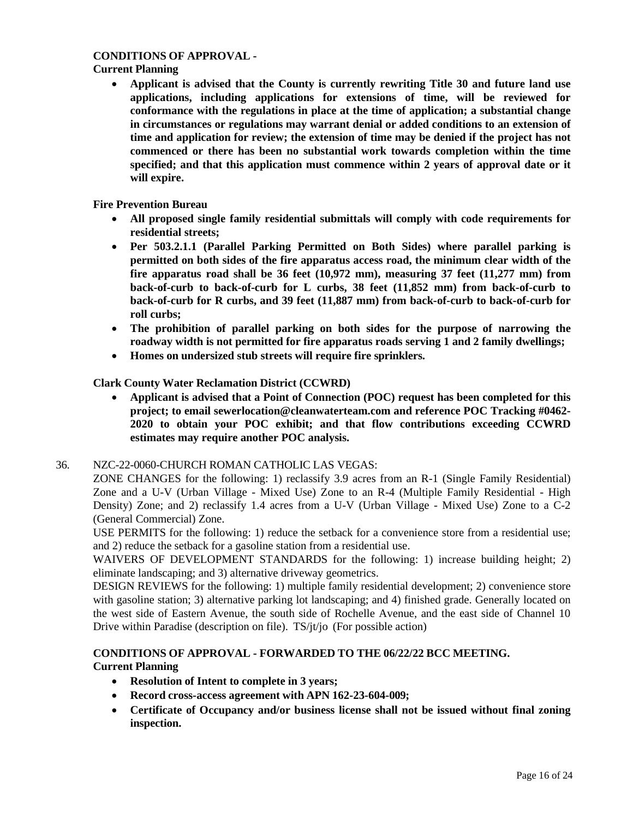#### **CONDITIONS OF APPROVAL -**

#### **Current Planning**

• **Applicant is advised that the County is currently rewriting Title 30 and future land use applications, including applications for extensions of time, will be reviewed for conformance with the regulations in place at the time of application; a substantial change in circumstances or regulations may warrant denial or added conditions to an extension of time and application for review; the extension of time may be denied if the project has not commenced or there has been no substantial work towards completion within the time specified; and that this application must commence within 2 years of approval date or it will expire.**

**Fire Prevention Bureau**

- **All proposed single family residential submittals will comply with code requirements for residential streets;**
- **Per 503.2.1.1 (Parallel Parking Permitted on Both Sides) where parallel parking is permitted on both sides of the fire apparatus access road, the minimum clear width of the fire apparatus road shall be 36 feet (10,972 mm), measuring 37 feet (11,277 mm) from back-of-curb to back-of-curb for L curbs, 38 feet (11,852 mm) from back-of-curb to back-of-curb for R curbs, and 39 feet (11,887 mm) from back-of-curb to back-of-curb for roll curbs;**
- **The prohibition of parallel parking on both sides for the purpose of narrowing the roadway width is not permitted for fire apparatus roads serving 1 and 2 family dwellings;**
- **Homes on undersized stub streets will require fire sprinklers.**

#### **Clark County Water Reclamation District (CCWRD)**

• **Applicant is advised that a Point of Connection (POC) request has been completed for this project; to email [sewerlocation@cleanwaterteam.com](mailto:sewerlocation@cleanwaterteam.com) and reference POC Tracking #0462- 2020 to obtain your POC exhibit; and that flow contributions exceeding CCWRD estimates may require another POC analysis.**

#### 36. NZC-22-0060-CHURCH ROMAN [CATHOLIC LAS VEGAS:](http://clark.legistar.com/gateway.aspx?m=l&id=/matter.aspx%3Fkey%3D8960)

ZONE CHANGES for the following: 1) reclassify 3.9 acres from an R-1 (Single Family [Residential\)](http://clark.legistar.com/gateway.aspx?m=l&id=/matter.aspx%3Fkey%3D8960)  Zone and a U-V (Urban Village - [Mixed Use\) Zone to an R-4 \(Multiple Family Residential -](http://clark.legistar.com/gateway.aspx?m=l&id=/matter.aspx%3Fkey%3D8960) High [Density\) Zone; and 2\) reclassify 1.4 acres from a U-V \(Urban Village -](http://clark.legistar.com/gateway.aspx?m=l&id=/matter.aspx%3Fkey%3D8960) Mixed Use) Zone to a C-2 [\(General Commercial\) Zone.](http://clark.legistar.com/gateway.aspx?m=l&id=/matter.aspx%3Fkey%3D8960)

USE PERMITS for the following: 1) reduce the setback for a [convenience](http://clark.legistar.com/gateway.aspx?m=l&id=/matter.aspx%3Fkey%3D8960) store from a residential use; [and 2\) reduce the setback for a gasoline station from a residential use.](http://clark.legistar.com/gateway.aspx?m=l&id=/matter.aspx%3Fkey%3D8960)

WAIVERS OF [DEVELOPMENT](http://clark.legistar.com/gateway.aspx?m=l&id=/matter.aspx%3Fkey%3D8960) STANDARDS for the following: 1) increase building height; 2) [eliminate landscaping; and 3\) alternative driveway geometrics.](http://clark.legistar.com/gateway.aspx?m=l&id=/matter.aspx%3Fkey%3D8960)

DESIGN REVIEWS for the following: 1) multiple family residential [development;](http://clark.legistar.com/gateway.aspx?m=l&id=/matter.aspx%3Fkey%3D8960) 2) convenience store with gasoline station; 3) alternative parking [lot landscaping; and 4\) finished grade. Generally](http://clark.legistar.com/gateway.aspx?m=l&id=/matter.aspx%3Fkey%3D8960) located on [the west side of Eastern Avenue, the south side of Rochelle Avenue, and the east side of Channel 10](http://clark.legistar.com/gateway.aspx?m=l&id=/matter.aspx%3Fkey%3D8960)  [Drive within Paradise \(description on file\).](http://clark.legistar.com/gateway.aspx?m=l&id=/matter.aspx%3Fkey%3D8960) TS/jt/jo (For possible action)

#### **CONDITIONS OF APPROVAL - FORWARDED TO THE 06/22/22 BCC MEETING. Current Planning**

- **Resolution of Intent to complete in 3 years;**
- **Record cross-access agreement with APN 162-23-604-009;**
- **Certificate of Occupancy and/or business license shall not be issued without final zoning inspection.**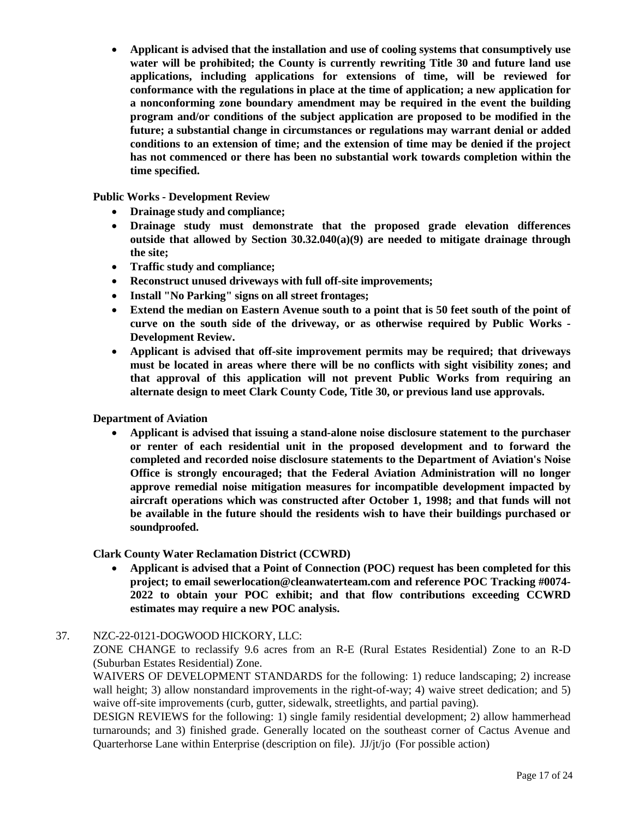• **Applicant is advised that the installation and use of cooling systems that consumptively use water will be prohibited; the County is currently rewriting Title 30 and future land use applications, including applications for extensions of time, will be reviewed for conformance with the regulations in place at the time of application; a new application for a nonconforming zone boundary amendment may be required in the event the building program and/or conditions of the subject application are proposed to be modified in the future; a substantial change in circumstances or regulations may warrant denial or added conditions to an extension of time; and the extension of time may be denied if the project has not commenced or there has been no substantial work towards completion within the time specified.**

**Public Works - Development Review**

- **Drainage study and compliance;**
- **Drainage study must demonstrate that the proposed grade elevation differences outside that allowed by Section 30.32.040(a)(9) are needed to mitigate drainage through the site;**
- **Traffic study and compliance;**
- **Reconstruct unused driveways with full off-site improvements;**
- **Install "No Parking" signs on all street frontages;**
- Extend the median on Eastern Avenue south to a point that is 50 feet south of the point of **curve on the south side of the driveway, or as otherwise required by Public Works - Development Review.**
- **Applicant is advised that off-site improvement permits may be required; that driveways must be located in areas where there will be no conflicts with sight visibility zones; and that approval of this application will not prevent Public Works from requiring an alternate design to meet Clark County Code, Title 30, or previous land use approvals.**

**Department of Aviation**

• **Applicant is advised that issuing a stand-alone noise disclosure statement to the purchaser or renter of each residential unit in the proposed development and to forward the completed and recorded noise disclosure statements to the Department of Aviation's Noise Office is strongly encouraged; that the Federal Aviation Administration will no longer approve remedial noise mitigation measures for incompatible development impacted by aircraft operations which was constructed after October 1, 1998; and that funds will not be available in the future should the residents wish to have their buildings purchased or soundproofed.**

#### **Clark County Water Reclamation District (CCWRD)**

• **Applicant is advised that a Point of Connection (POC) request has been completed for this project; to email [sewerlocation@cleanwaterteam.com](mailto:sewerlocation@cleanwaterteam.com) and reference POC Tracking #0074- 2022 to obtain your POC exhibit; and that flow contributions exceeding CCWRD estimates may require a new POC analysis.**

#### 37. [NZC-22-0121-DOGWOOD](http://clark.legistar.com/gateway.aspx?m=l&id=/matter.aspx%3Fkey%3D8961) HICKORY, LLC:

ZONE CHANGE to reclassify 9.6 acres from an R-E (Rural Estates [Residential\)](http://clark.legistar.com/gateway.aspx?m=l&id=/matter.aspx%3Fkey%3D8961) Zone to an R-D [\(Suburban Estates Residential\) Zone.](http://clark.legistar.com/gateway.aspx?m=l&id=/matter.aspx%3Fkey%3D8961)

WAIVERS OF [DEVELOPMENT](http://clark.legistar.com/gateway.aspx?m=l&id=/matter.aspx%3Fkey%3D8961) STANDARDS for the following: 1) reduce landscaping; 2) increase wall height; 3) allow nonstandard improvements in the right-of-way; 4) waive [street dedication; and](http://clark.legistar.com/gateway.aspx?m=l&id=/matter.aspx%3Fkey%3D8961) 5) [waive off-site improvements \(curb, gutter, sidewalk, streetlights, and partial paving\).](http://clark.legistar.com/gateway.aspx?m=l&id=/matter.aspx%3Fkey%3D8961)

DESIGN REVIEWS for the following: 1) single family residential [development;](http://clark.legistar.com/gateway.aspx?m=l&id=/matter.aspx%3Fkey%3D8961) 2) allow hammerhead [turnarounds; and 3\) finished grade. Generally located on the southeast corner of Cactus Avenue and](http://clark.legistar.com/gateway.aspx?m=l&id=/matter.aspx%3Fkey%3D8961)  [Quarterhorse Lane within Enterprise \(description on file\).](http://clark.legistar.com/gateway.aspx?m=l&id=/matter.aspx%3Fkey%3D8961) JJ/jt/jo (For possible action)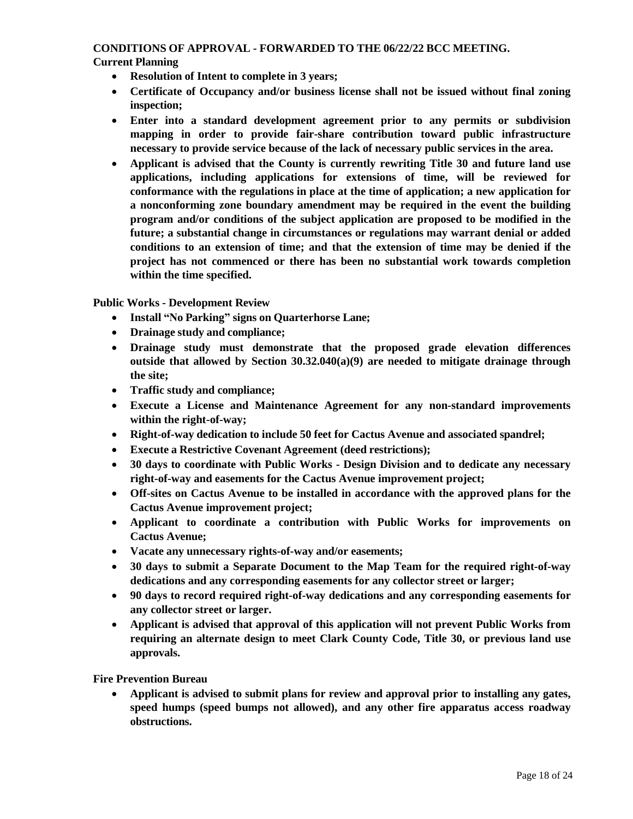#### **CONDITIONS OF APPROVAL - FORWARDED TO THE 06/22/22 BCC MEETING. Current Planning**

- **Resolution of Intent to complete in 3 years;**
- **Certificate of Occupancy and/or business license shall not be issued without final zoning inspection;**
- **Enter into a standard development agreement prior to any permits or subdivision mapping in order to provide fair-share contribution toward public infrastructure necessary to provide service because of the lack of necessary public services in the area.**
- **Applicant is advised that the County is currently rewriting Title 30 and future land use applications, including applications for extensions of time, will be reviewed for conformance with the regulations in place at the time of application; a new application for a nonconforming zone boundary amendment may be required in the event the building program and/or conditions of the subject application are proposed to be modified in the future; a substantial change in circumstances or regulations may warrant denial or added conditions to an extension of time; and that the extension of time may be denied if the project has not commenced or there has been no substantial work towards completion within the time specified.**

**Public Works - Development Review**

- **Install "No Parking" signs on Quarterhorse Lane;**
- **Drainage study and compliance;**
- **Drainage study must demonstrate that the proposed grade elevation differences outside that allowed by Section 30.32.040(a)(9) are needed to mitigate drainage through the site;**
- **Traffic study and compliance;**
- **Execute a License and Maintenance Agreement for any non-standard improvements within the right-of-way;**
- **Right-of-way dedication to include 50 feet for Cactus Avenue and associated spandrel;**
- **Execute a Restrictive Covenant Agreement (deed restrictions);**
- **30 days to coordinate with Public Works - Design Division and to dedicate any necessary right-of-way and easements for the Cactus Avenue improvement project;**
- **Off-sites on Cactus Avenue to be installed in accordance with the approved plans for the Cactus Avenue improvement project;**
- **Applicant to coordinate a contribution with Public Works for improvements on Cactus Avenue;**
- **Vacate any unnecessary rights-of-way and/or easements;**
- **30 days to submit a Separate Document to the Map Team for the required right-of-way dedications and any corresponding easements for any collector street or larger;**
- **90 days to record required right-of-way dedications and any corresponding easements for any collector street or larger.**
- **Applicant is advised that approval of this application will not prevent Public Works from requiring an alternate design to meet Clark County Code, Title 30, or previous land use approvals.**

**Fire Prevention Bureau**

• **Applicant is advised to submit plans for review and approval prior to installing any gates, speed humps (speed bumps not allowed), and any other fire apparatus access roadway obstructions.**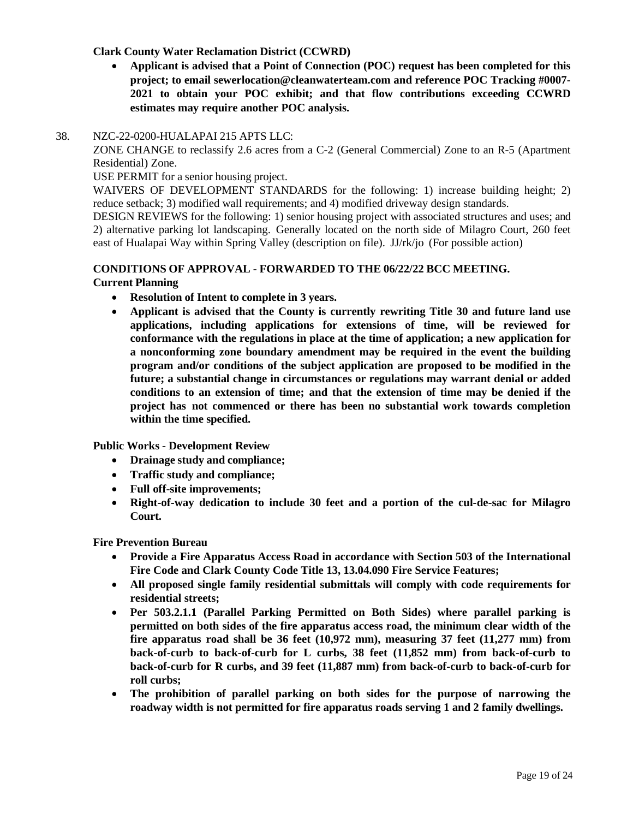#### **Clark County Water Reclamation District (CCWRD)**

• **Applicant is advised that a Point of Connection (POC) request has been completed for this project; to email [sewerlocation@cleanwaterteam.com](mailto:sewerlocation@cleanwaterteam.com) and reference POC Tracking #0007- 2021 to obtain your POC exhibit; and that flow contributions exceeding CCWRD estimates may require another POC analysis.**

#### 38. [NZC-22-0200-HUALAPAI](http://clark.legistar.com/gateway.aspx?m=l&id=/matter.aspx%3Fkey%3D8962) 215 APTS LLC:

ZONE CHANGE to reclassify 2.6 acres from a C-2 (General [Commercial\)](http://clark.legistar.com/gateway.aspx?m=l&id=/matter.aspx%3Fkey%3D8962) Zone to an R-5 (Apartment [Residential\) Zone.](http://clark.legistar.com/gateway.aspx?m=l&id=/matter.aspx%3Fkey%3D8962)

USE [PERMIT](http://clark.legistar.com/gateway.aspx?m=l&id=/matter.aspx%3Fkey%3D8962) for a senior housing project.

WAIVERS OF [DEVELOPMENT](http://clark.legistar.com/gateway.aspx?m=l&id=/matter.aspx%3Fkey%3D8962) STANDARDS for the following: 1) increase building height; 2) [reduce setback; 3\) modified wall requirements; and 4\) modified driveway design standards.](http://clark.legistar.com/gateway.aspx?m=l&id=/matter.aspx%3Fkey%3D8962)

DESIGN [REVIEWS](http://clark.legistar.com/gateway.aspx?m=l&id=/matter.aspx%3Fkey%3D8962) for the following: 1) senior housing project with associated structures and uses; and 2) alternative parking [lot landscaping.](http://clark.legistar.com/gateway.aspx?m=l&id=/matter.aspx%3Fkey%3D8962) Generally located on the north side of Milagro Court, 260 feet [east of Hualapai Way within Spring Valley \(description on file\).](http://clark.legistar.com/gateway.aspx?m=l&id=/matter.aspx%3Fkey%3D8962) JJ/rk/jo (For possible action)

#### **CONDITIONS OF APPROVAL - FORWARDED TO THE 06/22/22 BCC MEETING. Current Planning**

- **Resolution of Intent to complete in 3 years.**
- **Applicant is advised that the County is currently rewriting Title 30 and future land use applications, including applications for extensions of time, will be reviewed for conformance with the regulations in place at the time of application; a new application for a nonconforming zone boundary amendment may be required in the event the building program and/or conditions of the subject application are proposed to be modified in the future; a substantial change in circumstances or regulations may warrant denial or added conditions to an extension of time; and that the extension of time may be denied if the project has not commenced or there has been no substantial work towards completion within the time specified.**

**Public Works - Development Review**

- **Drainage study and compliance;**
- **Traffic study and compliance;**
- **Full off-site improvements;**
- **Right-of-way dedication to include 30 feet and a portion of the cul-de-sac for Milagro Court.**

**Fire Prevention Bureau**

- **Provide a Fire Apparatus Access Road in accordance with Section 503 of the International Fire Code and Clark County Code Title 13, 13.04.090 Fire Service Features;**
- **All proposed single family residential submittals will comply with code requirements for residential streets;**
- **Per 503.2.1.1 (Parallel Parking Permitted on Both Sides) where parallel parking is permitted on both sides of the fire apparatus access road, the minimum clear width of the fire apparatus road shall be 36 feet (10,972 mm), measuring 37 feet (11,277 mm) from back-of-curb to back-of-curb for L curbs, 38 feet (11,852 mm) from back-of-curb to back-of-curb for R curbs, and 39 feet (11,887 mm) from back-of-curb to back-of-curb for roll curbs;**
- **The prohibition of parallel parking on both sides for the purpose of narrowing the roadway width is not permitted for fire apparatus roads serving 1 and 2 family dwellings.**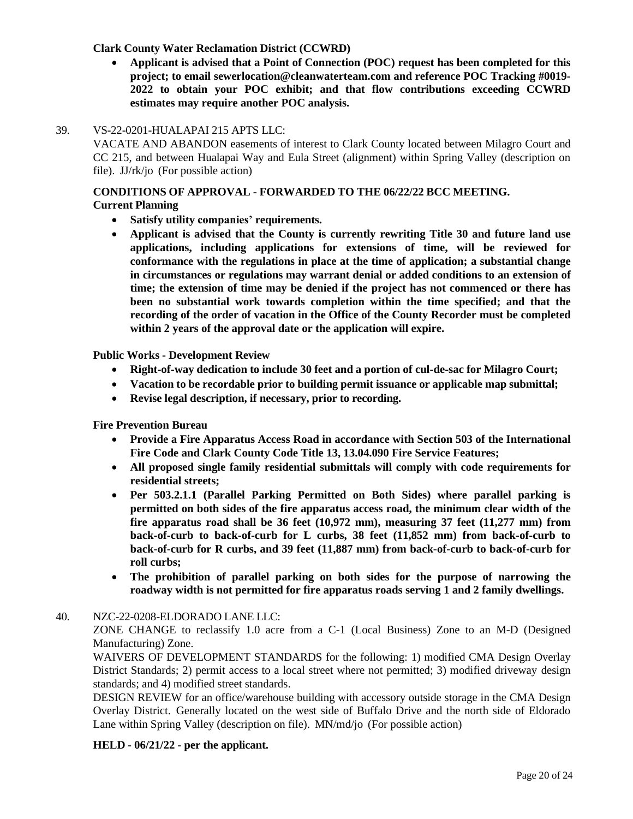#### **Clark County Water Reclamation District (CCWRD)**

• **Applicant is advised that a Point of Connection (POC) request has been completed for this project; to email [sewerlocation@cleanwaterteam.com](mailto:sewerlocation@cleanwaterteam.com) and reference POC Tracking #0019- 2022 to obtain your POC exhibit; and that flow contributions exceeding CCWRD estimates may require another POC analysis.**

#### 39. [VS-22-0201-HUALAPAI](http://clark.legistar.com/gateway.aspx?m=l&id=/matter.aspx%3Fkey%3D8963) 215 APTS LLC:

VACATE AND [ABANDON](http://clark.legistar.com/gateway.aspx?m=l&id=/matter.aspx%3Fkey%3D8963) easements of interest to Clark County located between Milagro Court and [CC 215, and between Hualapai Way and Eula Street \(alignment\) within Spring Valley \(description on](http://clark.legistar.com/gateway.aspx?m=l&id=/matter.aspx%3Fkey%3D8963)  file). JJ/rk/jo [\(For possible action\)](http://clark.legistar.com/gateway.aspx?m=l&id=/matter.aspx%3Fkey%3D8963)

#### **CONDITIONS OF APPROVAL - FORWARDED TO THE 06/22/22 BCC MEETING.**

**Current Planning**

- **Satisfy utility companies' requirements.**
- **Applicant is advised that the County is currently rewriting Title 30 and future land use applications, including applications for extensions of time, will be reviewed for conformance with the regulations in place at the time of application; a substantial change in circumstances or regulations may warrant denial or added conditions to an extension of time; the extension of time may be denied if the project has not commenced or there has been no substantial work towards completion within the time specified; and that the recording of the order of vacation in the Office of the County Recorder must be completed within 2 years of the approval date or the application will expire.**

**Public Works - Development Review**

- **Right-of-way dedication to include 30 feet and a portion of cul-de-sac for Milagro Court;**
- **Vacation to be recordable prior to building permit issuance or applicable map submittal;**
- **Revise legal description, if necessary, prior to recording.**

**Fire Prevention Bureau**

- **Provide a Fire Apparatus Access Road in accordance with Section 503 of the International Fire Code and Clark County Code Title 13, 13.04.090 Fire Service Features;**
- **All proposed single family residential submittals will comply with code requirements for residential streets;**
- **Per 503.2.1.1 (Parallel Parking Permitted on Both Sides) where parallel parking is permitted on both sides of the fire apparatus access road, the minimum clear width of the fire apparatus road shall be 36 feet (10,972 mm), measuring 37 feet (11,277 mm) from back-of-curb to back-of-curb for L curbs, 38 feet (11,852 mm) from back-of-curb to back-of-curb for R curbs, and 39 feet (11,887 mm) from back-of-curb to back-of-curb for roll curbs;**
- **The prohibition of parallel parking on both sides for the purpose of narrowing the roadway width is not permitted for fire apparatus roads serving 1 and 2 family dwellings.**

#### 40. [NZC-22-0208-ELDORADO](http://clark.legistar.com/gateway.aspx?m=l&id=/matter.aspx%3Fkey%3D8964) LANE LLC:

ZONE CHANGE to reclassify 1.0 acre from a C-1 (Local Business) Zone to an M-D [\(Designed](http://clark.legistar.com/gateway.aspx?m=l&id=/matter.aspx%3Fkey%3D8964)  [Manufacturing\) Zone.](http://clark.legistar.com/gateway.aspx?m=l&id=/matter.aspx%3Fkey%3D8964)

WAIVERS OF [DEVELOPMENT](http://clark.legistar.com/gateway.aspx?m=l&id=/matter.aspx%3Fkey%3D8964) STANDARDS for the following: 1) modified CMA Design Overlay [District Standards; 2\) permit access to a local street where not permitted; 3\) modified driveway](http://clark.legistar.com/gateway.aspx?m=l&id=/matter.aspx%3Fkey%3D8964) design [standards; and 4\) modified street standards.](http://clark.legistar.com/gateway.aspx?m=l&id=/matter.aspx%3Fkey%3D8964)

DESIGN REVIEW for an [office/warehouse](http://clark.legistar.com/gateway.aspx?m=l&id=/matter.aspx%3Fkey%3D8964) building with accessory outside storage in the CMA Design Overlay District. [Generally located on the west side of Buffalo Drive and the north side of Eldorado](http://clark.legistar.com/gateway.aspx?m=l&id=/matter.aspx%3Fkey%3D8964)  [Lane within Spring Valley \(description on file\).](http://clark.legistar.com/gateway.aspx?m=l&id=/matter.aspx%3Fkey%3D8964) MN/md/jo (For possible action)

#### **HELD - 06/21/22 - per the applicant.**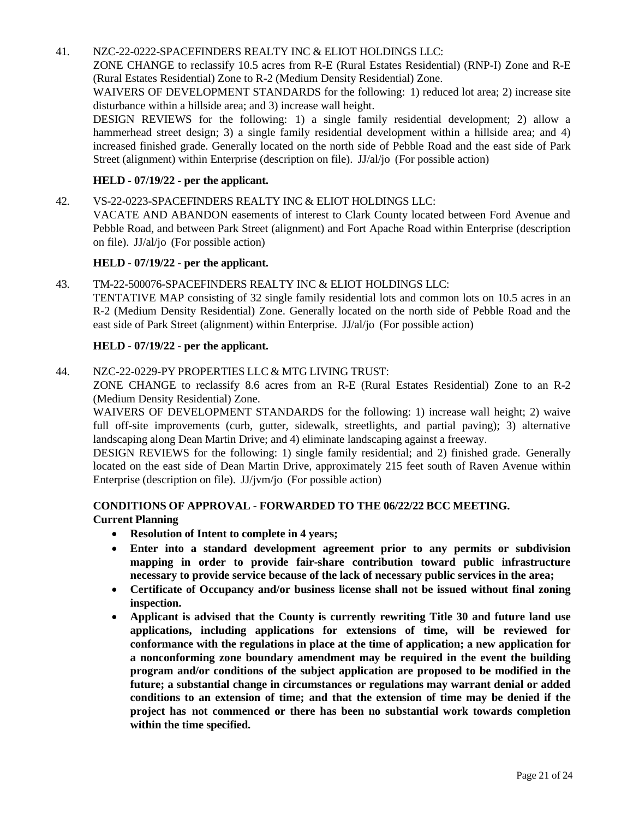#### 41. [NZC-22-0222-SPACEFINDERS](http://clark.legistar.com/gateway.aspx?m=l&id=/matter.aspx%3Fkey%3D8965) REALTY INC & ELIOT HOLDINGS LLC:

ZONE CHANGE to reclassify 10.5 acres from R-E (Rural Estates [Residential\)](http://clark.legistar.com/gateway.aspx?m=l&id=/matter.aspx%3Fkey%3D8965) (RNP-I) Zone and R-E [\(Rural Estates Residential\) Zone to R-2 \(Medium Density Residential\) Zone.](http://clark.legistar.com/gateway.aspx?m=l&id=/matter.aspx%3Fkey%3D8965)

WAIVERS OF [DEVELOPMENT STANDARDS](http://clark.legistar.com/gateway.aspx?m=l&id=/matter.aspx%3Fkey%3D8965) for the following: 1) reduced lot area; 2) increase site [disturbance within a hillside area; and 3\) increase wall height.](http://clark.legistar.com/gateway.aspx?m=l&id=/matter.aspx%3Fkey%3D8965)

DESIGN REVIEWS for the following: [1\) a single family residential development; 2\) allow a](http://clark.legistar.com/gateway.aspx?m=l&id=/matter.aspx%3Fkey%3D8965)  hammerhead street design; 3) a single family residential development within a hillside area; and 4) increased finished grade. [Generally](http://clark.legistar.com/gateway.aspx?m=l&id=/matter.aspx%3Fkey%3D8965) located on the north side of Pebble Road and the east side of Park [Street \(alignment\) within Enterprise \(description on file\).](http://clark.legistar.com/gateway.aspx?m=l&id=/matter.aspx%3Fkey%3D8965) JJ/al/jo (For possible action)

#### **HELD - 07/19/22 - per the applicant.**

#### 42. [VS-22-0223-SPACEFINDERS REALTY](http://clark.legistar.com/gateway.aspx?m=l&id=/matter.aspx%3Fkey%3D8966) INC & ELIOT HOLDINGS LLC:

[VACATE AND ABANDON easements of interest to Clark County located between Ford Avenue and](http://clark.legistar.com/gateway.aspx?m=l&id=/matter.aspx%3Fkey%3D8966)  Pebble Road, and between Park Street (alignment) and Fort Apache Road within [Enterprise \(description](http://clark.legistar.com/gateway.aspx?m=l&id=/matter.aspx%3Fkey%3D8966)  on file). JJ/al/jo [\(For possible action\)](http://clark.legistar.com/gateway.aspx?m=l&id=/matter.aspx%3Fkey%3D8966)

#### **HELD - 07/19/22 - per the applicant.**

#### 43. [TM-22-500076-SPACEFINDERS REALTY INC](http://clark.legistar.com/gateway.aspx?m=l&id=/matter.aspx%3Fkey%3D8976) & ELIOT HOLDINGS LLC:

TENTATIVE MAP consisting of 32 single family [residential lots](http://clark.legistar.com/gateway.aspx?m=l&id=/matter.aspx%3Fkey%3D8976) and common lots on 10.5 acres in an [R-2 \(Medium Density Residential\) Zone. Generally located on the north side of Pebble Road and the](http://clark.legistar.com/gateway.aspx?m=l&id=/matter.aspx%3Fkey%3D8976)  [east side of Park Street \(alignment\) within Enterprise.](http://clark.legistar.com/gateway.aspx?m=l&id=/matter.aspx%3Fkey%3D8976) JJ/al/jo (For possible action)

#### **HELD - 07/19/22 - per the applicant.**

#### 44. [NZC-22-0229-PY](http://clark.legistar.com/gateway.aspx?m=l&id=/matter.aspx%3Fkey%3D8967) PROPERTIES LLC & MTG LIVING TRUST:

ZONE CHANGE to reclassify 8.6 acres from an R-E (Rural Estates [Residential\)](http://clark.legistar.com/gateway.aspx?m=l&id=/matter.aspx%3Fkey%3D8967) Zone to an R-2 [\(Medium Density Residential\) Zone.](http://clark.legistar.com/gateway.aspx?m=l&id=/matter.aspx%3Fkey%3D8967)

WAIVERS OF [DEVELOPMENT](http://clark.legistar.com/gateway.aspx?m=l&id=/matter.aspx%3Fkey%3D8967) STANDARDS for the following: 1) increase wall height; 2) waive [full off-site improvements \(curb, gutter, sidewalk, streetlights, and partial paving\); 3\) alternative](http://clark.legistar.com/gateway.aspx?m=l&id=/matter.aspx%3Fkey%3D8967)  [landscaping along Dean Martin Drive; and 4\) eliminate](http://clark.legistar.com/gateway.aspx?m=l&id=/matter.aspx%3Fkey%3D8967) landscaping against a freeway.

DESIGN REVIEWS [for the following: 1\) single family](http://clark.legistar.com/gateway.aspx?m=l&id=/matter.aspx%3Fkey%3D8967) residential; and 2) finished grade. Generally located on the east side of Dean Martin Drive, [approximately](http://clark.legistar.com/gateway.aspx?m=l&id=/matter.aspx%3Fkey%3D8967) 215 feet south of Raven Avenue within [Enterprise \(description on file\).](http://clark.legistar.com/gateway.aspx?m=l&id=/matter.aspx%3Fkey%3D8967) JJ/jvm/jo (For possible action)

#### **CONDITIONS OF APPROVAL - FORWARDED TO THE 06/22/22 BCC MEETING.**

#### **Current Planning**

- **Resolution of Intent to complete in 4 years;**
- **Enter into a standard development agreement prior to any permits or subdivision mapping in order to provide fair-share contribution toward public infrastructure necessary to provide service because of the lack of necessary public services in the area;**
- **Certificate of Occupancy and/or business license shall not be issued without final zoning inspection.**
- **Applicant is advised that the County is currently rewriting Title 30 and future land use applications, including applications for extensions of time, will be reviewed for conformance with the regulations in place at the time of application; a new application for a nonconforming zone boundary amendment may be required in the event the building program and/or conditions of the subject application are proposed to be modified in the future; a substantial change in circumstances or regulations may warrant denial or added conditions to an extension of time; and that the extension of time may be denied if the project has not commenced or there has been no substantial work towards completion within the time specified.**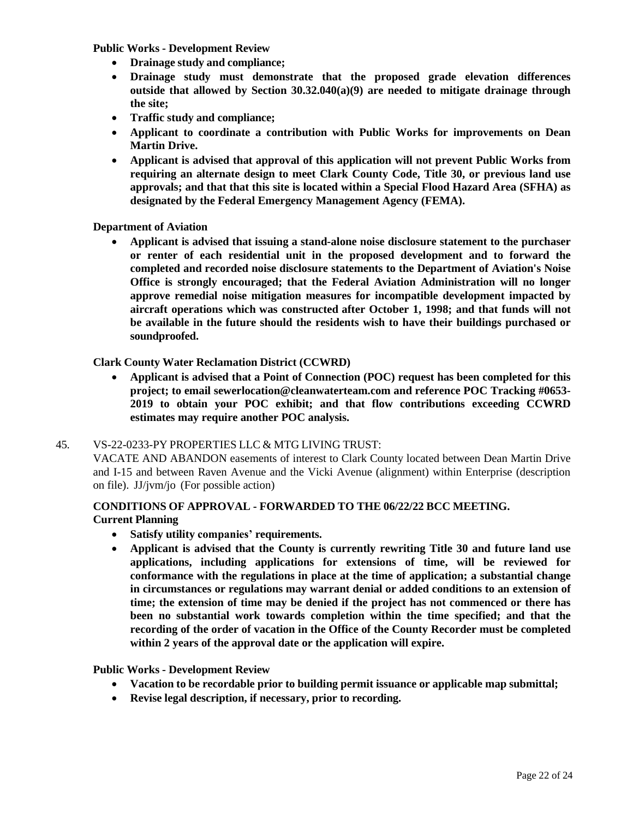**Public Works - Development Review**

- **Drainage study and compliance;**
- **Drainage study must demonstrate that the proposed grade elevation differences outside that allowed by Section 30.32.040(a)(9) are needed to mitigate drainage through the site;**
- **Traffic study and compliance;**
- **Applicant to coordinate a contribution with Public Works for improvements on Dean Martin Drive.**
- **Applicant is advised that approval of this application will not prevent Public Works from requiring an alternate design to meet Clark County Code, Title 30, or previous land use approvals; and that that this site is located within a Special Flood Hazard Area (SFHA) as designated by the Federal Emergency Management Agency (FEMA).**

**Department of Aviation**

• **Applicant is advised that issuing a stand-alone noise disclosure statement to the purchaser or renter of each residential unit in the proposed development and to forward the completed and recorded noise disclosure statements to the Department of Aviation's Noise Office is strongly encouraged; that the Federal Aviation Administration will no longer approve remedial noise mitigation measures for incompatible development impacted by aircraft operations which was constructed after October 1, 1998; and that funds will not be available in the future should the residents wish to have their buildings purchased or soundproofed.**

**Clark County Water Reclamation District (CCWRD)**

• **Applicant is advised that a Point of Connection (POC) request has been completed for this project; to email [sewerlocation@cleanwaterteam.com](mailto:sewerlocation@cleanwaterteam.com) and reference POC Tracking #0653- 2019 to obtain your POC exhibit; and that flow contributions exceeding CCWRD estimates may require another POC analysis.**

#### 45. [VS-22-0233-PY](http://clark.legistar.com/gateway.aspx?m=l&id=/matter.aspx%3Fkey%3D8968) PROPERTIES LLC & MTG LIVING TRUST:

VACATE AND [ABANDON](http://clark.legistar.com/gateway.aspx?m=l&id=/matter.aspx%3Fkey%3D8968) easements of interest to Clark County located between Dean Martin Drive and I-15 [and between Raven Avenue and the Vicki Avenue \(alignment\) within Enterprise \(description](http://clark.legistar.com/gateway.aspx?m=l&id=/matter.aspx%3Fkey%3D8968)  on file). JJ/jvm/jo [\(For possible action\)](http://clark.legistar.com/gateway.aspx?m=l&id=/matter.aspx%3Fkey%3D8968)

#### **CONDITIONS OF APPROVAL - FORWARDED TO THE 06/22/22 BCC MEETING. Current Planning**

- **Satisfy utility companies' requirements.**
- **Applicant is advised that the County is currently rewriting Title 30 and future land use applications, including applications for extensions of time, will be reviewed for conformance with the regulations in place at the time of application; a substantial change in circumstances or regulations may warrant denial or added conditions to an extension of time; the extension of time may be denied if the project has not commenced or there has been no substantial work towards completion within the time specified; and that the recording of the order of vacation in the Office of the County Recorder must be completed within 2 years of the approval date or the application will expire.**

#### **Public Works - Development Review**

- **Vacation to be recordable prior to building permit issuance or applicable map submittal;**
- **Revise legal description, if necessary, prior to recording.**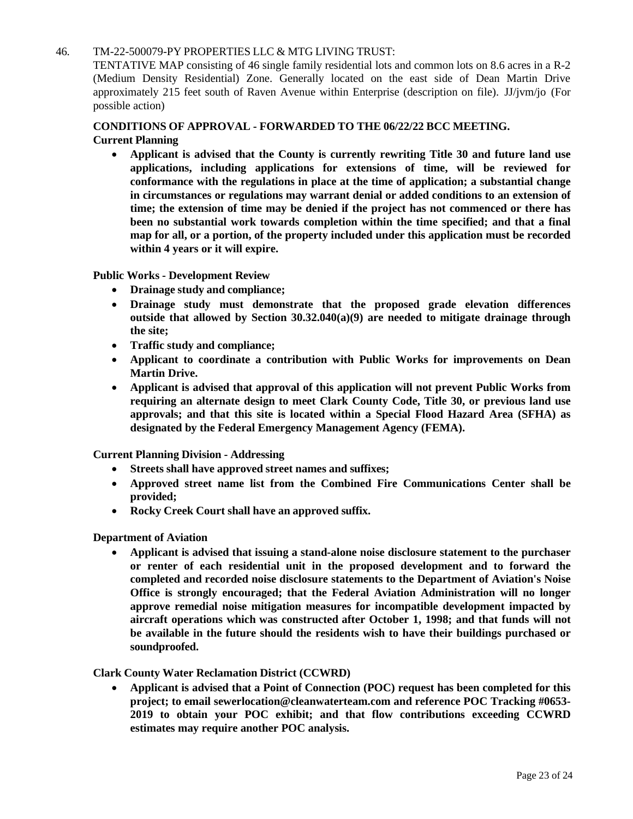#### 46. [TM-22-500079-PY](http://clark.legistar.com/gateway.aspx?m=l&id=/matter.aspx%3Fkey%3D8969) PROPERTIES LLC & MTG LIVING TRUST:

TENTATIVE MAP consisting of 46 single family [residential lots](http://clark.legistar.com/gateway.aspx?m=l&id=/matter.aspx%3Fkey%3D8969) and common lots on 8.6 acres in a R-2 [\(Medium Density Residential\) Zone. Generally located on the east side of Dean Martin Drive](http://clark.legistar.com/gateway.aspx?m=l&id=/matter.aspx%3Fkey%3D8969)  [approximately 215 feet south of Raven Avenue within Enterprise \(description on file\).](http://clark.legistar.com/gateway.aspx?m=l&id=/matter.aspx%3Fkey%3D8969) JJ/jvm/jo (For [possible action\)](http://clark.legistar.com/gateway.aspx?m=l&id=/matter.aspx%3Fkey%3D8969)

#### **CONDITIONS OF APPROVAL - FORWARDED TO THE 06/22/22 BCC MEETING. Current Planning**

• **Applicant is advised that the County is currently rewriting Title 30 and future land use applications, including applications for extensions of time, will be reviewed for conformance with the regulations in place at the time of application; a substantial change in circumstances or regulations may warrant denial or added conditions to an extension of time; the extension of time may be denied if the project has not commenced or there has been no substantial work towards completion within the time specified; and that a final map for all, or a portion, of the property included under this application must be recorded within 4 years or it will expire.**

**Public Works - Development Review**

- **Drainage study and compliance;**
- **Drainage study must demonstrate that the proposed grade elevation differences outside that allowed by Section 30.32.040(a)(9) are needed to mitigate drainage through the site;**
- **Traffic study and compliance;**
- **Applicant to coordinate a contribution with Public Works for improvements on Dean Martin Drive.**
- **Applicant is advised that approval of this application will not prevent Public Works from requiring an alternate design to meet Clark County Code, Title 30, or previous land use approvals; and that this site is located within a Special Flood Hazard Area (SFHA) as designated by the Federal Emergency Management Agency (FEMA).**

**Current Planning Division - Addressing**

- **Streets shall have approved street names and suffixes;**
- **Approved street name list from the Combined Fire Communications Center shall be provided;**
- **Rocky Creek Court shall have an approved suffix.**

**Department of Aviation**

• **Applicant is advised that issuing a stand-alone noise disclosure statement to the purchaser or renter of each residential unit in the proposed development and to forward the completed and recorded noise disclosure statements to the Department of Aviation's Noise Office is strongly encouraged; that the Federal Aviation Administration will no longer approve remedial noise mitigation measures for incompatible development impacted by aircraft operations which was constructed after October 1, 1998; and that funds will not be available in the future should the residents wish to have their buildings purchased or soundproofed.**

#### **Clark County Water Reclamation District (CCWRD)**

• **Applicant is advised that a Point of Connection (POC) request has been completed for this project; to email [sewerlocation@cleanwaterteam.com](mailto:sewerlocation@cleanwaterteam.com) and reference POC Tracking #0653- 2019 to obtain your POC exhibit; and that flow contributions exceeding CCWRD estimates may require another POC analysis.**